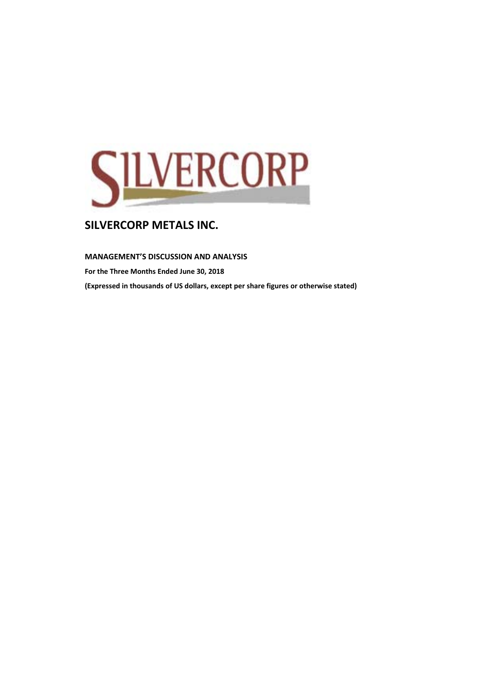

### **MANAGEMENT'S DISCUSSION AND ANALYSIS**

**For the Three Months Ended June 30, 2018 (Expressed in thousands of US dollars, except per share figures or otherwise stated)**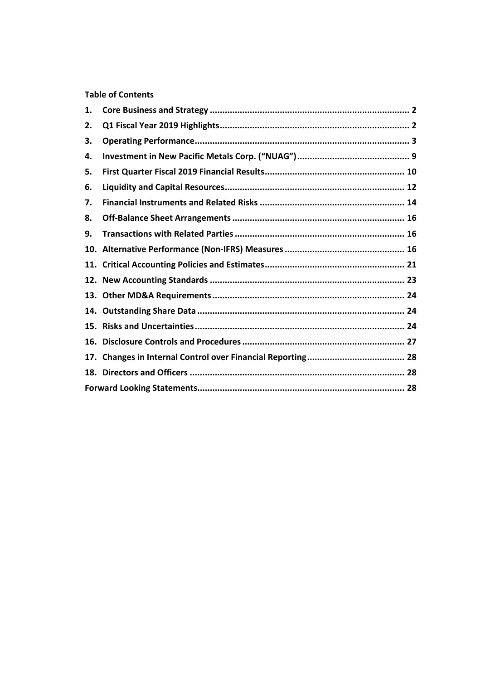# **Table of Contents**

| 1.  |  |
|-----|--|
| 2.  |  |
| З.  |  |
| 4.  |  |
| 5.  |  |
| 6.  |  |
| 7.  |  |
| 8.  |  |
| 9.  |  |
|     |  |
|     |  |
|     |  |
|     |  |
|     |  |
|     |  |
| 16. |  |
| 17. |  |
|     |  |
|     |  |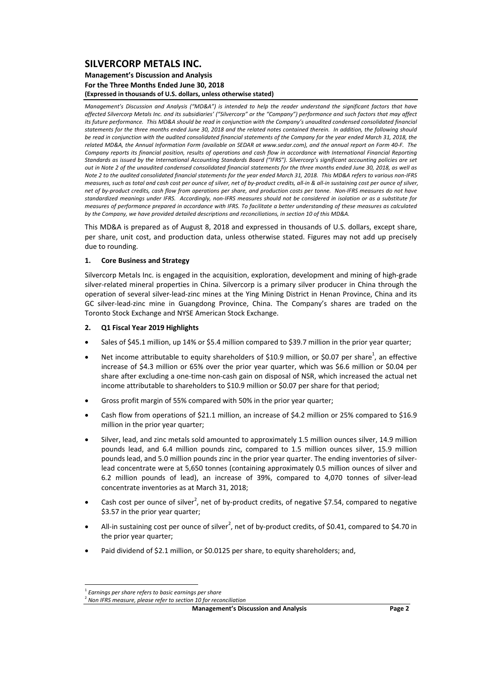#### **Management's Discussion and Analysis For the Three Months Ended June 30, 2018 (Expressed in thousands of U.S. dollars, unless otherwise stated)**

Management's Discussion and Analysis ("MD&A") is intended to help the reader understand the significant factors that have affected Silvercorp Metals Inc. and its subsidiaries' ("Silvercorp" or the "Company") performance and such factors that may affect its future performance. This MD&A should be read in conjunction with the Company's unaudited condensed consolidated financial statements for the three months ended June 30, 2018 and the related notes contained therein. In addition, the following should be read in conjunction with the audited consolidated financial statements of the Company for the year ended March 31, 2018, the related MD&A, the Annual Information Form (available on SEDAR at www.sedar.com), and the annual report on Form 40-F. The Company reports its financial position, results of operations and cash flow in accordance with International Financial Reportina Standards as issued by the International Accounting Standards Board ("IFRS"). Silvercorp's significant accounting policies are set out in Note 2 of the unaudited condensed consolidated financial statements for the three months ended June 30, 2018, as well as Note 2 to the audited consolidated financial statements for the year ended March 31, 2018. This MD&A refers to various non-IERS measures, such as total and cash cost per ounce of silver, net of by-product credits, all-in & all-in sustaining cost per ounce of silver, net of by-product credits, cash flow from operations per share, and production costs per tonne. Non-IFRS measures do not have standardized meanings under IFRS. Accordingly, non-IFRS measures should not be considered in isolation or as a substitute for measures of performance prepared in accordance with IFRS. To facilitate a better understanding of these measures as calculated by the Company, we have provided detailed descriptions and reconciliations, in section 10 of this MD&A.

This MD&A is prepared as of August 8, 2018 and expressed in thousands of U.S. dollars, except share, per share, unit cost, and production data, unless otherwise stated. Figures may not add up precisely due to rounding.

### **1. Core Business and Strategy**

Silvercorp Metals Inc. is engaged in the acquisition, exploration, development and mining of high‐grade silver-related mineral properties in China. Silvercorp is a primary silver producer in China through the operation of several silver‐lead‐zinc mines at the Ying Mining District in Henan Province, China and its GC silver‐lead‐zinc mine in Guangdong Province, China. The Company's shares are traded on the Toronto Stock Exchange and NYSE American Stock Exchange.

#### **2. Q1 Fiscal Year 2019 Highlights**

- Sales of \$45.1 million, up 14% or \$5.4 million compared to \$39.7 million in the prior year quarter;
- Net income attributable to equity shareholders of \$10.9 million, or \$0.07 per share<sup>1</sup>, an effective increase of \$4.3 million or 65% over the prior year quarter, which was \$6.6 million or \$0.04 per share after excluding a one‐time non‐cash gain on disposal of NSR, which increased the actual net income attributable to shareholders to \$10.9 million or \$0.07 per share for that period;
- Gross profit margin of 55% compared with 50% in the prior year quarter;
- Cash flow from operations of \$21.1 million, an increase of \$4.2 million or 25% compared to \$16.9 million in the prior year quarter;
- Silver, lead, and zinc metals sold amounted to approximately 1.5 million ounces silver, 14.9 million pounds lead, and 6.4 million pounds zinc, compared to 1.5 million ounces silver, 15.9 million pounds lead, and 5.0 million pounds zinc in the prior year quarter. The ending inventories of silverlead concentrate were at 5,650 tonnes (containing approximately 0.5 million ounces of silver and 6.2 million pounds of lead), an increase of 39%, compared to 4,070 tonnes of silver‐lead concentrate inventories as at March 31, 2018;
- Cash cost per ounce of silver<sup>2</sup>, net of by-product credits, of negative \$7.54, compared to negative \$3.57 in the prior year quarter;
- All-in sustaining cost per ounce of silver<sup>2</sup>, net of by-product credits, of \$0.41, compared to \$4.70 in the prior year quarter;
- Paid dividend of \$2.1 million, or \$0.0125 per share, to equity shareholders; and,

 $^1$  Earnings per share refers to basic earnings per share<br> $^2$  Non IFRS measure, please refer to section 10 for reconciliation

**Management's Discussion and Analysis Page 2**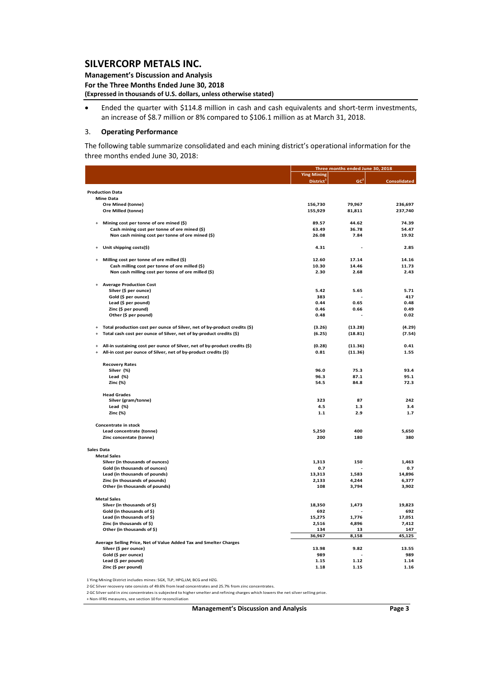**Management's Discussion and Analysis For the Three Months Ended June 30, 2018 (Expressed in thousands of U.S. dollars, unless otherwise stated)**

 Ended the quarter with \$114.8 million in cash and cash equivalents and short‐term investments, an increase of \$8.7 million or 8% compared to \$106.1 million as at March 31, 2018.

#### 3. **Operating Performance**

The following table summarize consolidated and each mining district's operational information for the three months ended June 30, 2018:

|                   |                                                                            |                       | Three months ended June 30, 2018 |                     |
|-------------------|----------------------------------------------------------------------------|-----------------------|----------------------------------|---------------------|
|                   |                                                                            | <b>Ying Mining</b>    |                                  |                     |
|                   |                                                                            | District <sup>1</sup> | GC <sup>2</sup>                  | <b>Consolidated</b> |
|                   | <b>Production Data</b>                                                     |                       |                                  |                     |
|                   | <b>Mine Data</b>                                                           |                       |                                  |                     |
|                   | Ore Mined (tonne)                                                          | 156,730               | 79,967                           | 236,697             |
|                   | Ore Milled (tonne)                                                         | 155,929               | 81,811                           | 237,740             |
| $\ddot{}$         | Mining cost per tonne of ore mined (\$)                                    | 89.57                 | 44.62                            | 74.39               |
|                   | Cash mining cost per tonne of ore mined (\$)                               | 63.49                 | 36.78                            | 54.47               |
|                   | Non cash mining cost per tonne of ore mined (\$)                           | 26.08                 | 7.84                             | 19.92               |
|                   | Unit shipping costs(\$)                                                    | 4.31                  | $\overline{a}$                   | 2.85                |
|                   | Milling cost per tonne of ore milled (\$)                                  | 12.60                 | 17.14                            | 14.16               |
|                   | Cash milling cost per tonne of ore milled (\$)                             | 10.30                 | 14.46                            | 11.73               |
|                   | Non cash milling cost per tonne of ore milled (\$)                         | 2.30                  | 2.68                             | 2.43                |
|                   | <b>Average Production Cost</b>                                             |                       |                                  |                     |
|                   | Silver (\$ per ounce)                                                      | 5.42                  | 5.65                             | 5.71                |
|                   | Gold (\$ per ounce)                                                        | 383                   |                                  | 417                 |
|                   | Lead (\$ per pound)                                                        | 0.44                  | 0.65                             | 0.48                |
|                   | Zinc (\$ per pound)                                                        | 0.46                  | 0.66                             | 0.49                |
|                   | Other (\$ per pound)                                                       | 0.48                  |                                  | 0.02                |
| $\ddot{}$         | Total production cost per ounce of Silver, net of by-product credits (\$)  | (3.26)                | (13.28)                          | (4.29)              |
| $\ddot{}$         | Total cash cost per ounce of Silver, net of by-product credits (\$)        | (6.25)                | (18.81)                          | (7.54)              |
| $\ddot{}$         | All-in sustaining cost per ounce of Silver, net of by-product credits (\$) | (0.28)                | (11.36)                          | 0.41                |
| $\ddot{}$         | All-in cost per ounce of Silver, net of by-product credits (\$)            | 0.81                  | (11.36)                          | 1.55                |
|                   | <b>Recovery Rates</b>                                                      |                       |                                  |                     |
|                   | Silver (%)                                                                 | 96.0                  | 75.3                             | 93.4                |
|                   | Lead $(\%)$                                                                | 96.3                  | 87.1                             | 95.1                |
|                   | Zinc (%)                                                                   | 54.5                  | 84.8                             | 72.3                |
|                   | <b>Head Grades</b>                                                         |                       |                                  |                     |
|                   | Silver (gram/tonne)                                                        | 323                   | 87                               | 242                 |
|                   | Lead $(\%)$                                                                | 4.5                   | 1.3                              | 3.4                 |
|                   | Zinc (%)                                                                   | 1.1                   | 2.9                              | 1.7                 |
|                   | Concentrate in stock                                                       |                       |                                  |                     |
|                   | Lead concentrate (tonne)                                                   | 5,250                 | 400                              | 5,650               |
|                   | Zinc concentate (tonne)                                                    | 200                   | 180                              | 380                 |
| <b>Sales Data</b> |                                                                            |                       |                                  |                     |
|                   | <b>Metal Sales</b>                                                         |                       |                                  |                     |
|                   | Silver (in thousands of ounces)                                            | 1,313                 | 150                              | 1,463               |
|                   | Gold (in thousands of ounces)                                              | 0.7                   |                                  | 0.7                 |
|                   | Lead (in thousands of pounds)                                              | 13,313                | 1,583                            | 14,896              |
|                   | Zinc (in thousands of pounds)                                              | 2,133                 | 4,244                            | 6,377               |
|                   | Other (in thousands of pounds)                                             | 108                   | 3,794                            | 3,902               |
|                   | <b>Metal Sales</b>                                                         |                       |                                  |                     |
|                   | Silver (in thousands of \$)                                                | 18,350                | 1,473                            | 19,823              |
|                   | Gold (in thousands of \$)                                                  | 692                   |                                  | 692                 |
|                   | Lead (in thousands of \$)                                                  | 15,275                | 1,776                            | 17,051              |
|                   | Zinc (in thousands of \$)                                                  | 2,516                 | 4,896                            | 7,412               |
|                   | Other (in thousands of \$)                                                 | 134                   | 13                               | 147<br>45,125       |
|                   | Average Selling Price, Net of Value Added Tax and Smelter Charges          | 36,967                | 8,158                            |                     |
|                   | Silver (\$ per ounce)                                                      | 13.98                 | 9.82                             | 13.55               |
|                   | Gold (\$ per ounce)                                                        | 989                   |                                  | 989                 |
|                   | Lead (\$ per pound)                                                        | 1.15                  | 1.12                             | 1.14                |
|                   | Zinc (\$ per pound)                                                        | 1.18                  | 1.15                             | 1.16                |
|                   |                                                                            |                       |                                  |                     |

1 Ying Mining District includes mines: SGX, TLP, HPG,LM, BCG and HZG.

2 GC Silver recovery rate consists of 49.6% from lead concentrates and 25.7% from zinc concentrates.

2 GC Silversold in zinc concentrates is subjected to highersmelter and refining charges which lowers the net silverselling price.

+ Non‐IFRS measures, see section 10 for reconciliation

**Management's Discussion and Analysis Page 3**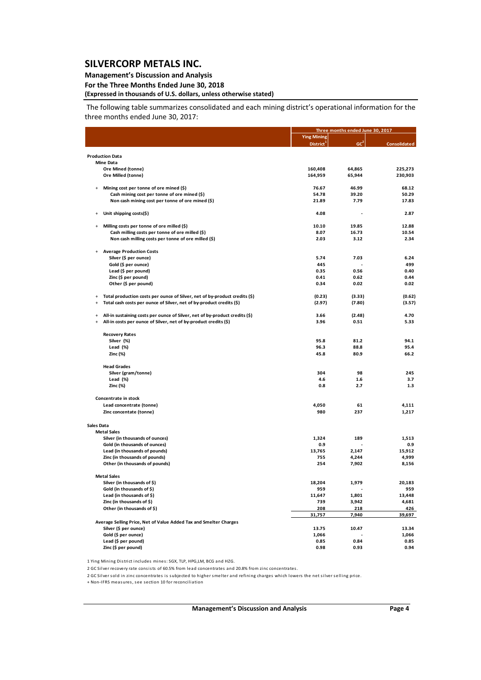### **Management's Discussion and Analysis**

### **For the Three Months Ended June 30, 2018**

# **(Expressed in thousands of U.S. dollars, unless otherwise stated)**

The following table summarizes consolidated and each mining district's operational information for the three months ended June 30, 2017:

|            |                                                                             |                       | Three months ended June 30, 2017 |                     |
|------------|-----------------------------------------------------------------------------|-----------------------|----------------------------------|---------------------|
|            |                                                                             | <b>Ying Mining</b>    |                                  |                     |
|            |                                                                             | District <sup>1</sup> | GC <sup>2</sup>                  | <b>Consolidated</b> |
|            | <b>Production Data</b>                                                      |                       |                                  |                     |
|            | <b>Mine Data</b>                                                            |                       |                                  |                     |
|            | Ore Mined (tonne)                                                           | 160,408               | 64,865                           | 225,273             |
|            | Ore Milled (tonne)                                                          | 164,959               | 65,944                           | 230,903             |
| $\ddot{}$  | Mining cost per tonne of ore mined (\$)                                     | 76.67                 | 46.99                            | 68.12               |
|            | Cash mining cost per tonne of ore mined (\$)                                | 54.78                 | 39.20                            | 50.29               |
|            | Non cash mining cost per tonne of ore mined (\$)                            | 21.89                 | 7.79                             | 17.83               |
| $\ddot{}$  | Unit shipping costs(\$)                                                     | 4.08                  |                                  | 2.87                |
| $\ddot{}$  | Milling costs per tonne of ore milled (\$)                                  | 10.10                 | 19.85                            | 12.88               |
|            | Cash milling costs per tonne of ore milled (\$)                             | 8.07                  | 16.73                            | 10.54               |
|            | Non cash milling costs per tonne of ore milled (\$)                         | 2.03                  | 3.12                             | 2.34                |
|            | <b>Average Production Costs</b>                                             |                       |                                  |                     |
|            | Silver (\$ per ounce)                                                       | 5.74                  | 7.03                             | 6.24                |
|            | Gold (\$ per ounce)                                                         | 445                   |                                  | 499                 |
|            | Lead (\$ per pound)                                                         | 0.35                  | 0.56                             | 0.40                |
|            | Zinc (\$ per pound)                                                         | 0.41                  | 0.62                             | 0.44                |
|            | Other (\$ per pound)                                                        | 0.34                  | 0.02                             | 0.02                |
| $\ddot{}$  | Total production costs per ounce of Silver, net of by-product credits (\$)  | (0.23)                | (3.33)                           | (0.62)              |
| $\ddot{}$  | Total cash costs per ounce of Silver, net of by-product credits (\$)        | (2.97)                | (7.80)                           | (3.57)              |
| $\ddot{}$  | All-in sustaining costs per ounce of Silver, net of by-product credits (\$) | 3.66                  | (2.48)                           | 4.70                |
| $+$        | All-in costs per ounce of Silver, net of by-product credits (\$)            | 3.96                  | 0.51                             | 5.33                |
|            |                                                                             |                       |                                  |                     |
|            | <b>Recovery Rates</b><br>Silver (%)                                         | 95.8                  | 81.2                             | 94.1                |
|            | Lead (%)                                                                    | 96.3                  | 88.8                             | 95.4                |
|            | Zinc (%)                                                                    | 45.8                  | 80.9                             | 66.2                |
|            | <b>Head Grades</b>                                                          |                       |                                  |                     |
|            | Silver (gram/tonne)                                                         | 304                   | 98                               | 245                 |
|            | Lead (%)                                                                    | 4.6                   | 1.6                              | 3.7                 |
|            | Zinc (%)                                                                    | 0.8                   | 2.7                              | 1.3                 |
|            | Concentrate in stock                                                        |                       |                                  |                     |
|            | Lead concentrate (tonne)                                                    | 4,050                 | 61                               | 4,111               |
|            | Zinc concentate (tonne)                                                     | 980                   | 237                              | 1,217               |
| Sales Data |                                                                             |                       |                                  |                     |
|            | <b>Metal Sales</b>                                                          |                       |                                  |                     |
|            | Silver (in thousands of ounces)                                             | 1,324                 | 189                              | 1,513               |
|            | Gold (in thousands of ounces)                                               | 0.9                   |                                  | 0.9                 |
|            | Lead (in thousands of pounds)                                               | 13,765                | 2,147                            | 15,912              |
|            | Zinc (in thousands of pounds)                                               | 755                   | 4,244                            | 4,999               |
|            | Other (in thousands of pounds)                                              | 254                   | 7,902                            | 8,156               |
|            | <b>Metal Sales</b>                                                          |                       |                                  |                     |
|            | Silver (in thousands of \$)                                                 | 18,204                | 1,979                            | 20,183              |
|            | Gold (in thousands of \$)                                                   | 959                   |                                  | 959                 |
|            | Lead (in thousands of \$)                                                   | 11,647                | 1,801                            | 13,448              |
|            | Zinc (in thousands of \$)                                                   | 739                   | 3,942                            | 4,681               |
|            | Other (in thousands of \$)                                                  | 208<br>31,757         | 218<br>7,940                     | 426<br>39,697       |
|            | Average Selling Price, Net of Value Added Tax and Smelter Charges           |                       |                                  |                     |
|            | Silver (\$ per ounce)                                                       | 13.75                 | 10.47                            | 13.34               |
|            | Gold (\$ per ounce)                                                         | 1,066                 |                                  | 1,066               |
|            | Lead (\$ per pound)                                                         | 0.85                  | 0.84                             | 0.85                |
|            | Zinc (\$ per pound)                                                         | 0.98                  | 0.93                             | 0.94                |

1 Ying Mining District includes mines: SGX, TLP, HPG,LM, BCG and HZG.

2 GC Silver recovery rate consists of 60.5% from lead concentrates and 20.8% from zinc concentrates.

2 GC Silver sold in zinc concentrates is subjected to higher smelter and refining charges which lowers the net silver selling price.

+ Non-IFRS measures, see section 10 for reconciliation

**Management's Discussion and Analysis Page 4**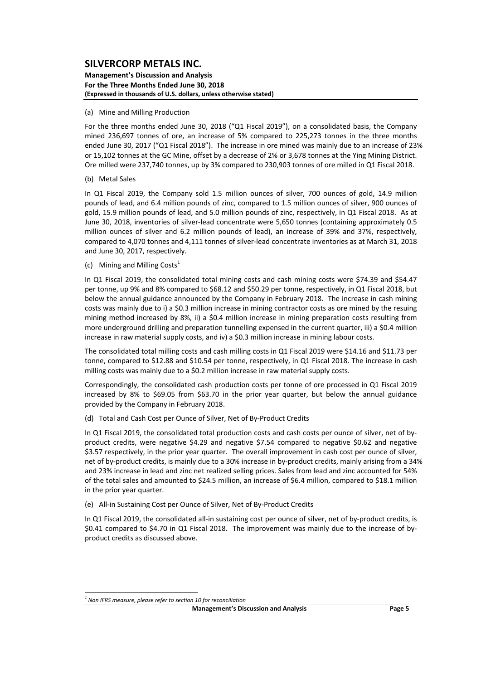#### **Management's Discussion and Analysis For the Three Months Ended June 30, 2018 (Expressed in thousands of U.S. dollars, unless otherwise stated)**

#### (a) Mine and Milling Production

For the three months ended June 30, 2018 ("Q1 Fiscal 2019"), on a consolidated basis, the Company mined 236,697 tonnes of ore, an increase of 5% compared to 225,273 tonnes in the three months ended June 30, 2017 ("Q1 Fiscal 2018"). The increase in ore mined was mainly due to an increase of 23% or 15,102 tonnes at the GC Mine, offset by a decrease of 2% or 3,678 tonnes at the Ying Mining District. Ore milled were 237,740 tonnes, up by 3% compared to 230,903 tonnes of ore milled in Q1 Fiscal 2018.

#### (b) Metal Sales

In Q1 Fiscal 2019, the Company sold 1.5 million ounces of silver, 700 ounces of gold, 14.9 million pounds of lead, and 6.4 million pounds of zinc, compared to 1.5 million ounces of silver, 900 ounces of gold, 15.9 million pounds of lead, and 5.0 million pounds of zinc, respectively, in Q1 Fiscal 2018. As at June 30, 2018, inventories of silver‐lead concentrate were 5,650 tonnes (containing approximately 0.5 million ounces of silver and 6.2 million pounds of lead), an increase of 39% and 37%, respectively, compared to 4,070 tonnes and 4,111 tonnes of silver‐lead concentrate inventories as at March 31, 2018 and June 30, 2017, respectively.

(c) Mining and Milling Costs $<sup>1</sup>$ </sup>

In Q1 Fiscal 2019, the consolidated total mining costs and cash mining costs were \$74.39 and \$54.47 per tonne, up 9% and 8% compared to \$68.12 and \$50.29 per tonne, respectively, in Q1 Fiscal 2018, but below the annual guidance announced by the Company in February 2018. The increase in cash mining costs was mainly due to i) a \$0.3 million increase in mining contractor costs as ore mined by the resuing mining method increased by 8%, ii) a \$0.4 million increase in mining preparation costs resulting from more underground drilling and preparation tunnelling expensed in the current quarter, iii) a \$0.4 million increase in raw material supply costs, and iv) a \$0.3 million increase in mining labour costs.

The consolidated total milling costs and cash milling costs in Q1 Fiscal 2019 were \$14.16 and \$11.73 per tonne, compared to \$12.88 and \$10.54 per tonne, respectively, in Q1 Fiscal 2018. The increase in cash milling costs was mainly due to a \$0.2 million increase in raw material supply costs.

Correspondingly, the consolidated cash production costs per tonne of ore processed in Q1 Fiscal 2019 increased by 8% to \$69.05 from \$63.70 in the prior year quarter, but below the annual guidance provided by the Company in February 2018.

(d) Total and Cash Cost per Ounce of Silver, Net of By‐Product Credits

In Q1 Fiscal 2019, the consolidated total production costs and cash costs per ounce of silver, net of byproduct credits, were negative \$4.29 and negative \$7.54 compared to negative \$0.62 and negative \$3.57 respectively, in the prior year quarter. The overall improvement in cash cost per ounce of silver, net of by‐product credits, is mainly due to a 30% increase in by‐product credits, mainly arising from a 34% and 23% increase in lead and zinc net realized selling prices. Sales from lead and zinc accounted for 54% of the total sales and amounted to \$24.5 million, an increase of \$6.4 million, compared to \$18.1 million in the prior year quarter.

(e) All‐in Sustaining Cost per Ounce of Silver, Net of By‐Product Credits

In Q1 Fiscal 2019, the consolidated all-in sustaining cost per ounce of silver, net of by-product credits, is \$0.41 compared to \$4.70 in Q1 Fiscal 2018. The improvement was mainly due to the increase of byproduct credits as discussed above.

*<sup>1</sup> Non IFRS measure, please refer to section 10 for reconciliation*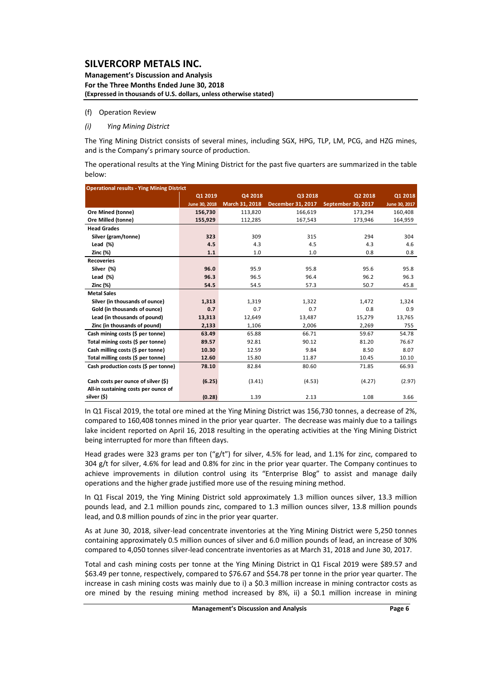#### **Management's Discussion and Analysis For the Three Months Ended June 30, 2018 (Expressed in thousands of U.S. dollars, unless otherwise stated)**

#### (f) Operation Review

### *(i) Ying Mining District*

The Ying Mining District consists of several mines, including SGX, HPG, TLP, LM, PCG, and HZG mines, and is the Company's primary source of production.

The operational results at the Ying Mining District for the past five quarters are summarized in the table below:

| <b>Operational results - Ying Mining District</b> |               |                |                   |                           |               |
|---------------------------------------------------|---------------|----------------|-------------------|---------------------------|---------------|
|                                                   | Q1 2019       | Q4 2018        | Q3 2018           | Q2 2018                   | Q1 2018       |
|                                                   | June 30, 2018 | March 31, 2018 | December 31, 2017 | <b>September 30, 2017</b> | June 30, 2017 |
| Ore Mined (tonne)                                 | 156,730       | 113,820        | 166,619           | 173,294                   | 160,408       |
| Ore Milled (tonne)                                | 155,929       | 112,285        | 167,543           | 173,946                   | 164,959       |
| <b>Head Grades</b>                                |               |                |                   |                           |               |
| Silver (gram/tonne)                               | 323           | 309            | 315               | 294                       | 304           |
| Lead $(\%)$                                       | 4.5           | 4.3            | 4.5               | 4.3                       | 4.6           |
| <b>Zinc (%)</b>                                   | $1.1$         | 1.0            | 1.0               | 0.8                       | 0.8           |
| <b>Recoveries</b>                                 |               |                |                   |                           |               |
| Silver (%)                                        | 96.0          | 95.9           | 95.8              | 95.6                      | 95.8          |
| Lead $(\%)$                                       | 96.3          | 96.5           | 96.4              | 96.2                      | 96.3          |
| <b>Zinc (%)</b>                                   | 54.5          | 54.5           | 57.3              | 50.7                      | 45.8          |
| <b>Metal Sales</b>                                |               |                |                   |                           |               |
| Silver (in thousands of ounce)                    | 1,313         | 1,319          | 1,322             | 1,472                     | 1,324         |
| Gold (in thousands of ounce)                      | 0.7           | 0.7            | 0.7               | 0.8                       | 0.9           |
| Lead (in thousands of pound)                      | 13,313        | 12,649         | 13,487            | 15,279                    | 13,765        |
| Zinc (in thousands of pound)                      | 2,133         | 1,106          | 2,006             | 2,269                     | 755           |
| Cash mining costs (\$ per tonne)                  | 63.49         | 65.88          | 66.71             | 59.67                     | 54.78         |
| Total mining costs (\$ per tonne)                 | 89.57         | 92.81          | 90.12             | 81.20                     | 76.67         |
| Cash milling costs (\$ per tonne)                 | 10.30         | 12.59          | 9.84              | 8.50                      | 8.07          |
| Total milling costs (\$ per tonne)                | 12.60         | 15.80          | 11.87             | 10.45                     | 10.10         |
| Cash production costs (\$ per tonne)              | 78.10         | 82.84          | 80.60             | 71.85                     | 66.93         |
|                                                   |               |                |                   |                           |               |
| Cash costs per ounce of silver (\$)               | (6.25)        | (3.41)         | (4.53)            | (4.27)                    | (2.97)        |
| All-in sustaining costs per ounce of              |               |                |                   |                           |               |
| silver (\$)                                       | (0.28)        | 1.39           | 2.13              | 1.08                      | 3.66          |

In Q1 Fiscal 2019, the total ore mined at the Ying Mining District was 156,730 tonnes, a decrease of 2%, compared to 160,408 tonnes mined in the prior year quarter. The decrease was mainly due to a tailings lake incident reported on April 16, 2018 resulting in the operating activities at the Ying Mining District being interrupted for more than fifteen days.

Head grades were 323 grams per ton ("g/t") for silver, 4.5% for lead, and 1.1% for zinc, compared to 304 g/t for silver, 4.6% for lead and 0.8% for zinc in the prior year quarter. The Company continues to achieve improvements in dilution control using its "Enterprise Blog" to assist and manage daily operations and the higher grade justified more use of the resuing mining method.

In Q1 Fiscal 2019, the Ying Mining District sold approximately 1.3 million ounces silver, 13.3 million pounds lead, and 2.1 million pounds zinc, compared to 1.3 million ounces silver, 13.8 million pounds lead, and 0.8 million pounds of zinc in the prior year quarter.

As at June 30, 2018, silver‐lead concentrate inventories at the Ying Mining District were 5,250 tonnes containing approximately 0.5 million ounces of silver and 6.0 million pounds of lead, an increase of 30% compared to 4,050 tonnes silver‐lead concentrate inventories as at March 31, 2018 and June 30, 2017.

Total and cash mining costs per tonne at the Ying Mining District in Q1 Fiscal 2019 were \$89.57 and \$63.49 per tonne, respectively, compared to \$76.67 and \$54.78 per tonne in the prior year quarter. The increase in cash mining costs was mainly due to i) a \$0.3 million increase in mining contractor costs as ore mined by the resuing mining method increased by 8%, ii) a \$0.1 million increase in mining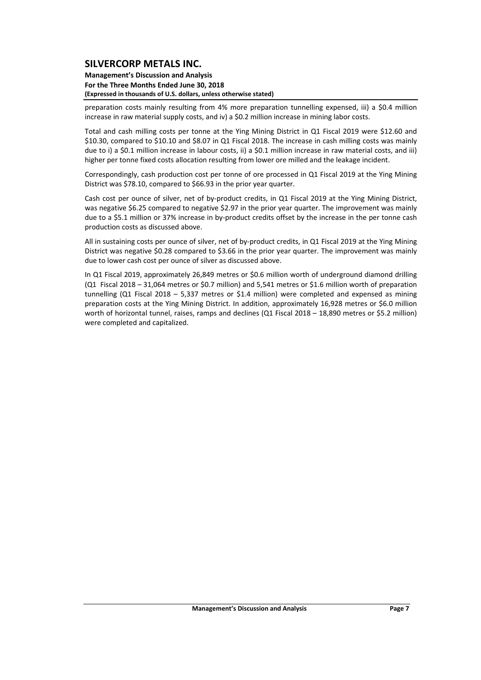#### **Management's Discussion and Analysis For the Three Months Ended June 30, 2018 (Expressed in thousands of U.S. dollars, unless otherwise stated)**

preparation costs mainly resulting from 4% more preparation tunnelling expensed, iii) a \$0.4 million increase in raw material supply costs, and iv) a \$0.2 million increase in mining labor costs.

Total and cash milling costs per tonne at the Ying Mining District in Q1 Fiscal 2019 were \$12.60 and \$10.30, compared to \$10.10 and \$8.07 in Q1 Fiscal 2018. The increase in cash milling costs was mainly due to i) a \$0.1 million increase in labour costs, ii) a \$0.1 million increase in raw material costs, and iii) higher per tonne fixed costs allocation resulting from lower ore milled and the leakage incident.

Correspondingly, cash production cost per tonne of ore processed in Q1 Fiscal 2019 at the Ying Mining District was \$78.10, compared to \$66.93 in the prior year quarter.

Cash cost per ounce of silver, net of by‐product credits, in Q1 Fiscal 2019 at the Ying Mining District, was negative \$6.25 compared to negative \$2.97 in the prior year quarter. The improvement was mainly due to a \$5.1 million or 37% increase in by-product credits offset by the increase in the per tonne cash production costs as discussed above.

All in sustaining costs per ounce of silver, net of by‐product credits, in Q1 Fiscal 2019 at the Ying Mining District was negative \$0.28 compared to \$3.66 in the prior year quarter. The improvement was mainly due to lower cash cost per ounce of silver as discussed above.

In Q1 Fiscal 2019, approximately 26,849 metres or \$0.6 million worth of underground diamond drilling (Q1 Fiscal 2018 – 31,064 metres or \$0.7 million) and 5,541 metres or \$1.6 million worth of preparation tunnelling (Q1 Fiscal 2018 – 5,337 metres or \$1.4 million) were completed and expensed as mining preparation costs at the Ying Mining District. In addition, approximately 16,928 metres or \$6.0 million worth of horizontal tunnel, raises, ramps and declines (Q1 Fiscal 2018 – 18,890 metres or \$5.2 million) were completed and capitalized.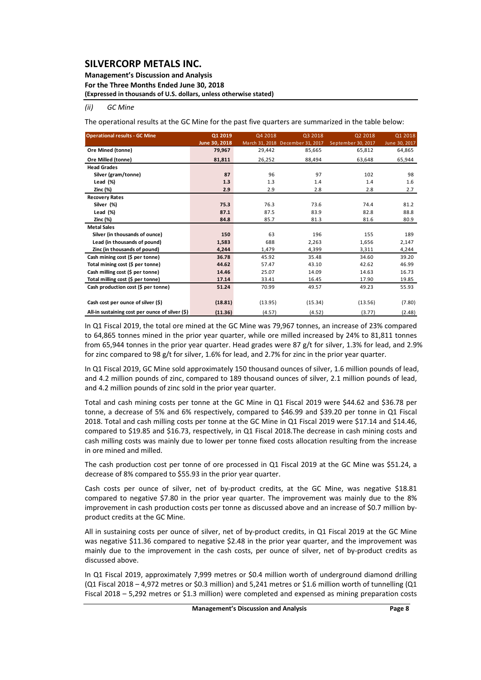#### **Management's Discussion and Analysis For the Three Months Ended June 30, 2018 (Expressed in thousands of U.S. dollars, unless otherwise stated)**

#### *(ii) GC Mine*

The operational results at the GC Mine for the past five quarters are summarized in the table below:

| <b>Operational results - GC Mine</b>            | Q1 2019       | Q4 2018 | Q3 2018                          | Q2 2018            | Q1 2018       |
|-------------------------------------------------|---------------|---------|----------------------------------|--------------------|---------------|
|                                                 | June 30, 2018 |         | March 31, 2018 December 31, 2017 | September 30, 2017 | June 30, 2017 |
| Ore Mined (tonne)                               | 79,967        | 29,442  | 85,665                           | 65,812             | 64,865        |
| Ore Milled (tonne)                              | 81,811        | 26,252  | 88,494                           | 63,648             | 65,944        |
| <b>Head Grades</b>                              |               |         |                                  |                    |               |
| Silver (gram/tonne)                             | 87            | 96      | 97                               | 102                | 98            |
| Lead $(\%)$                                     | 1.3           | 1.3     | 1.4                              | 1.4                | 1.6           |
| Zinc (%)                                        | 2.9           | 2.9     | 2.8                              | 2.8                | 2.7           |
| <b>Recovery Rates</b>                           |               |         |                                  |                    |               |
| Silver (%)                                      | 75.3          | 76.3    | 73.6                             | 74.4               | 81.2          |
| Lead $(\%)$                                     | 87.1          | 87.5    | 83.9                             | 82.8               | 88.8          |
| Zinc (%)                                        | 84.8          | 85.7    | 81.3                             | 81.6               | 80.9          |
| <b>Metal Sales</b>                              |               |         |                                  |                    |               |
| Silver (in thousands of ounce)                  | 150           | 63      | 196                              | 155                | 189           |
| Lead (in thousands of pound)                    | 1,583         | 688     | 2,263                            | 1,656              | 2,147         |
| Zinc (in thousands of pound)                    | 4,244         | 1,479   | 4,399                            | 3,311              | 4,244         |
| Cash mining cost (\$ per tonne)                 | 36.78         | 45.92   | 35.48                            | 34.60              | 39.20         |
| Total mining cost (\$ per tonne)                | 44.62         | 57.47   | 43.10                            | 42.62              | 46.99         |
| Cash milling cost (\$ per tonne)                | 14.46         | 25.07   | 14.09                            | 14.63              | 16.73         |
| Total milling cost (\$ per tonne)               | 17.14         | 33.41   | 16.45                            | 17.90              | 19.85         |
| Cash production cost (\$ per tonne)             | 51.24         | 70.99   | 49.57                            | 49.23              | 55.93         |
|                                                 |               |         |                                  |                    |               |
| Cash cost per ounce of silver (\$)              | (18.81)       | (13.95) | (15.34)                          | (13.56)            | (7.80)        |
| All-in sustaining cost per ounce of silver (\$) | (11.36)       | (4.57)  | (4.52)                           | (3.77)             | (2.48)        |

In Q1 Fiscal 2019, the total ore mined at the GC Mine was 79,967 tonnes, an increase of 23% compared to 64,865 tonnes mined in the prior year quarter, while ore milled increased by 24% to 81,811 tonnes from 65,944 tonnes in the prior year quarter. Head grades were 87 g/t for silver, 1.3% for lead, and 2.9% for zinc compared to 98 g/t for silver, 1.6% for lead, and 2.7% for zinc in the prior year quarter.

In Q1 Fiscal 2019, GC Mine sold approximately 150 thousand ounces of silver, 1.6 million pounds of lead, and 4.2 million pounds of zinc, compared to 189 thousand ounces of silver, 2.1 million pounds of lead, and 4.2 million pounds of zinc sold in the prior year quarter.

Total and cash mining costs per tonne at the GC Mine in Q1 Fiscal 2019 were \$44.62 and \$36.78 per tonne, a decrease of 5% and 6% respectively, compared to \$46.99 and \$39.20 per tonne in Q1 Fiscal 2018. Total and cash milling costs per tonne at the GC Mine in Q1 Fiscal 2019 were \$17.14 and \$14.46, compared to \$19.85 and \$16.73, respectively, in Q1 Fiscal 2018.The decrease in cash mining costs and cash milling costs was mainly due to lower per tonne fixed costs allocation resulting from the increase in ore mined and milled.

The cash production cost per tonne of ore processed in Q1 Fiscal 2019 at the GC Mine was \$51.24, a decrease of 8% compared to \$55.93 in the prior year quarter.

Cash costs per ounce of silver, net of by‐product credits, at the GC Mine, was negative \$18.81 compared to negative \$7.80 in the prior year quarter. The improvement was mainly due to the 8% improvement in cash production costs per tonne as discussed above and an increase of \$0.7 million byproduct credits at the GC Mine.

All in sustaining costs per ounce of silver, net of by‐product credits, in Q1 Fiscal 2019 at the GC Mine was negative \$11.36 compared to negative \$2.48 in the prior year quarter, and the improvement was mainly due to the improvement in the cash costs, per ounce of silver, net of by-product credits as discussed above.

In Q1 Fiscal 2019, approximately 7,999 metres or \$0.4 million worth of underground diamond drilling (Q1 Fiscal 2018 – 4,972 metres or \$0.3 million) and 5,241 metres or \$1.6 million worth of tunnelling (Q1 Fiscal 2018 – 5,292 metres or \$1.3 million) were completed and expensed as mining preparation costs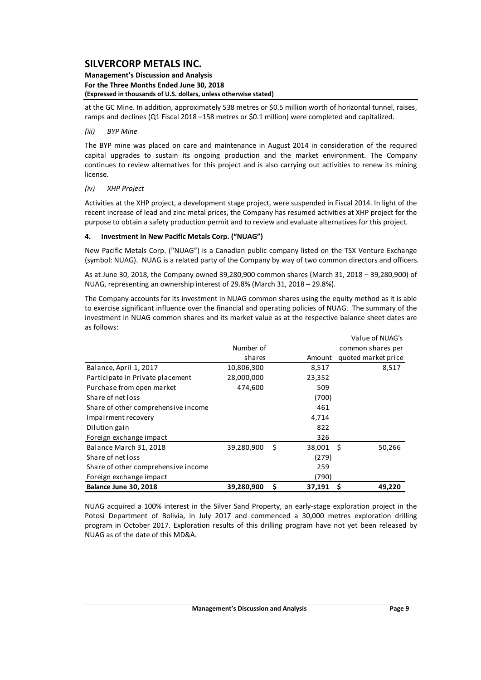#### **Management's Discussion and Analysis For the Three Months Ended June 30, 2018 (Expressed in thousands of U.S. dollars, unless otherwise stated)**

at the GC Mine. In addition, approximately 538 metres or \$0.5 million worth of horizontal tunnel, raises, ramps and declines (Q1 Fiscal 2018 –158 metres or \$0.1 million) were completed and capitalized.

### *(iii) BYP Mine*

The BYP mine was placed on care and maintenance in August 2014 in consideration of the required capital upgrades to sustain its ongoing production and the market environment. The Company continues to review alternatives for this project and is also carrying out activities to renew its mining license.

### *(iv) XHP Project*

Activities at the XHP project, a development stage project, were suspended in Fiscal 2014. In light of the recent increase of lead and zinc metal prices, the Company has resumed activities at XHP project for the purpose to obtain a safety production permit and to review and evaluate alternatives for this project.

### **4. Investment in New Pacific Metals Corp. ("NUAG")**

New Pacific Metals Corp. ("NUAG") is a Canadian public company listed on the TSX Venture Exchange (symbol: NUAG). NUAG is a related party of the Company by way of two common directors and officers.

As at June 30, 2018, the Company owned 39,280,900 common shares (March 31, 2018 – 39,280,900) of NUAG, representing an ownership interest of 29.8% (March 31, 2018 – 29.8%).

The Company accounts for its investment in NUAG common shares using the equity method as it is able to exercise significant influence over the financial and operating policies of NUAG. The summary of the investment in NUAG common shares and its market value as at the respective balance sheet dates are as follows:

|                                     |            |     |        | Value of NUAG S     |
|-------------------------------------|------------|-----|--------|---------------------|
|                                     | Number of  |     |        | common shares per   |
|                                     | shares     |     | Amount | quoted market price |
| Balance, April 1, 2017              | 10,806,300 |     | 8,517  | 8,517               |
| Participate in Private placement    | 28,000,000 |     | 23,352 |                     |
| Purchase from open market           | 474,600    |     | 509    |                     |
| Share of net loss                   |            |     | (700)  |                     |
| Share of other comprehensive income |            |     | 461    |                     |
| Impairment recovery                 |            |     | 4,714  |                     |
| Dilution gain                       |            |     | 822    |                     |
| Foreign exchange impact             |            |     | 326    |                     |
| Balance March 31, 2018              | 39,280,900 | -\$ | 38,001 | -\$<br>50,266       |
| Share of net loss                   |            |     | (279)  |                     |
| Share of other comprehensive income |            |     | 259    |                     |
| Foreign exchange impact             |            |     | (790)  |                     |
| Balance June 30, 2018               | 39,280,900 | \$  | 37,191 | \$<br>49,220        |

NUAG acquired a 100% interest in the Silver Sand Property, an early‐stage exploration project in the Potosi Department of Bolivia, in July 2017 and commenced a 30,000 metres exploration drilling program in October 2017. Exploration results of this drilling program have not yet been released by NUAG as of the date of this MD&A.

Value of NUAG's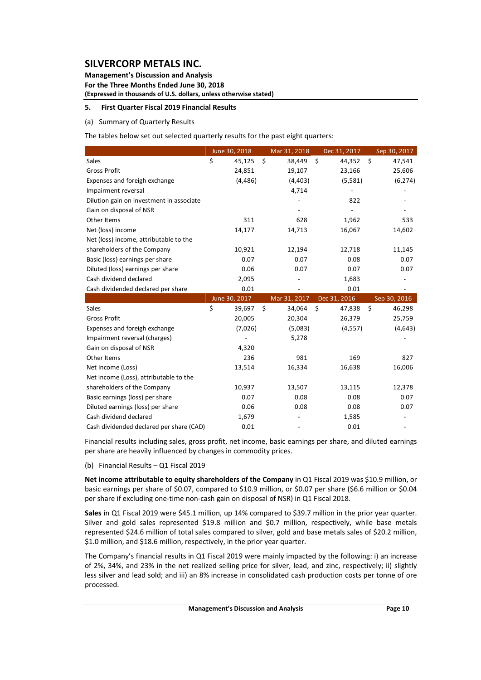**Management's Discussion and Analysis For the Three Months Ended June 30, 2018 (Expressed in thousands of U.S. dollars, unless otherwise stated)**

### **5. First Quarter Fiscal 2019 Financial Results**

### (a) Summary of Quarterly Results

The tables below set out selected quarterly results for the past eight quarters:

|                                          | June 30, 2018 | Mar 31, 2018 |    | Dec 31, 2017 | Sep 30, 2017 |
|------------------------------------------|---------------|--------------|----|--------------|--------------|
| Sales                                    | \$<br>45,125  | \$<br>38,449 | \$ | 44,352       | \$<br>47,541 |
| <b>Gross Profit</b>                      | 24,851        | 19,107       |    | 23,166       | 25,606       |
| Expenses and foreigh exchange            | (4, 486)      | (4, 403)     |    | (5, 581)     | (6, 274)     |
| Impairment reversal                      |               | 4,714        |    |              |              |
| Dilution gain on investment in associate |               |              |    | 822          |              |
| Gain on disposal of NSR                  |               |              |    |              |              |
| Other Items                              | 311           | 628          |    | 1,962        | 533          |
| Net (loss) income                        | 14,177        | 14,713       |    | 16,067       | 14,602       |
| Net (loss) income, attributable to the   |               |              |    |              |              |
| shareholders of the Company              | 10,921        | 12,194       |    | 12,718       | 11,145       |
| Basic (loss) earnings per share          | 0.07          | 0.07         |    | 0.08         | 0.07         |
| Diluted (loss) earnings per share        | 0.06          | 0.07         |    | 0.07         | 0.07         |
| Cash dividend declared                   | 2,095         |              |    | 1,683        |              |
| Cash dividended declared per share       | 0.01          |              |    | 0.01         |              |
|                                          | June 30, 2017 | Mar 31, 2017 |    | Dec 31, 2016 | Sep 30, 2016 |
| Sales                                    | \$<br>39,697  | \$<br>34,064 | Ś. | 47,838       | \$<br>46,298 |
| <b>Gross Profit</b>                      | 20,005        | 20,304       |    | 26,379       | 25,759       |
| Expenses and foreigh exchange            | (7,026)       | (5,083)      |    | (4, 557)     | (4,643)      |
| Impairment reversal (charges)            |               | 5,278        |    |              |              |
| Gain on disposal of NSR                  | 4,320         |              |    |              |              |
| Other Items                              | 236           | 981          |    | 169          | 827          |
| Net Income (Loss)                        | 13,514        | 16,334       |    | 16,638       | 16,006       |
| Net income (Loss), attributable to the   |               |              |    |              |              |
| shareholders of the Company              | 10,937        | 13,507       |    | 13,115       | 12,378       |
| Basic earnings (loss) per share          | 0.07          | 0.08         |    | 0.08         | 0.07         |
| Diluted earnings (loss) per share        | 0.06          | 0.08         |    | 0.08         | 0.07         |
| Cash dividend declared                   | 1,679         |              |    | 1,585        |              |
| Cash dividended declared per share (CAD) | 0.01          |              |    | 0.01         |              |

Financial results including sales, gross profit, net income, basic earnings per share, and diluted earnings per share are heavily influenced by changes in commodity prices.

(b) Financial Results – Q1 Fiscal 2019

**Net income attributable to equity shareholders of the Company** in Q1 Fiscal 2019 was \$10.9 million, or basic earnings per share of \$0.07, compared to \$10.9 million, or \$0.07 per share (\$6.6 million or \$0.04 per share if excluding one-time non-cash gain on disposal of NSR) in Q1 Fiscal 2018.

**Sales** in Q1 Fiscal 2019 were \$45.1 million, up 14% compared to \$39.7 million in the prior year quarter. Silver and gold sales represented \$19.8 million and \$0.7 million, respectively, while base metals represented \$24.6 million of total sales compared to silver, gold and base metals sales of \$20.2 million, \$1.0 million, and \$18.6 million, respectively, in the prior year quarter.

The Company's financial results in Q1 Fiscal 2019 were mainly impacted by the following: i) an increase of 2%, 34%, and 23% in the net realized selling price for silver, lead, and zinc, respectively; ii) slightly less silver and lead sold; and iii) an 8% increase in consolidated cash production costs per tonne of ore processed.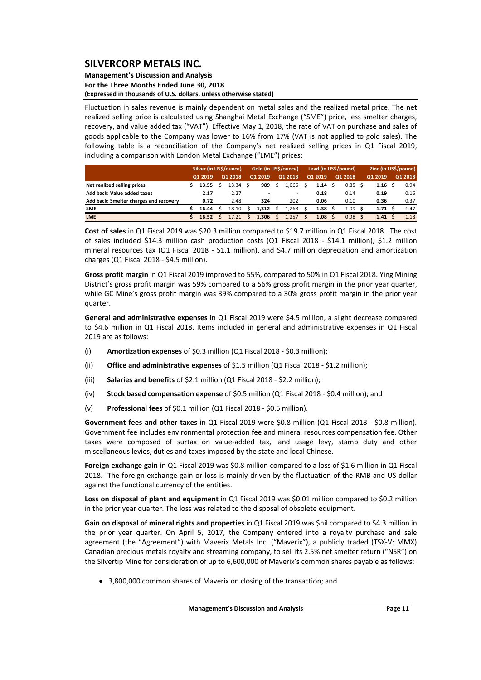### **Management's Discussion and Analysis For the Three Months Ended June 30, 2018 (Expressed in thousands of U.S. dollars, unless otherwise stated)**

Fluctuation in sales revenue is mainly dependent on metal sales and the realized metal price. The net realized selling price is calculated using Shanghai Metal Exchange ("SME") price, less smelter charges, recovery, and value added tax ("VAT"). Effective May 1, 2018, the rate of VAT on purchase and sales of goods applicable to the Company was lower to 16% from 17% (VAT is not applied to gold sales). The following table is a reconciliation of the Company's net realized selling prices in Q1 Fiscal 2019, including a comparison with London Metal Exchange ("LME") prices:

|                                        | Silver (in US\$/ounce) |         |  | Gold (in US\$/ounce), |  |         |  |                          | Lead (in US\$/pound) |              | Zinc (in US\$/pound) |   |         |  |         |
|----------------------------------------|------------------------|---------|--|-----------------------|--|---------|--|--------------------------|----------------------|--------------|----------------------|---|---------|--|---------|
|                                        |                        | Q1 2019 |  | Q1 2018               |  | Q1 2019 |  | Q1 2018                  |                      | 01 2019      | 01 2018              |   | Q1 2019 |  | 01 2018 |
| Net realized selling prices            |                        | 13.55   |  | 13.34 <sub>5</sub>    |  | 989     |  | 1.066                    |                      | 1.14         | 0.85                 |   | 1.16    |  | 0.94    |
| Add back: Value added taxes            |                        | 2.17    |  | 2.27                  |  |         |  | $\overline{\phantom{a}}$ |                      | 0.18         | 0.14                 |   | 0.19    |  | 0.16    |
| Add back: Smelter charges and recovery |                        | 0.72    |  | 2.48                  |  | 324     |  | 202                      |                      | 0.06         | 0.10                 |   | 0.36    |  | 0.37    |
| <b>SME</b>                             |                        | 16.44   |  | 18.10                 |  | 1.312   |  | 1.268                    |                      | 1.38         | 1.09                 |   | 1.71    |  | 1.47    |
| <b>LME</b>                             |                        | 16.52   |  | 17.21                 |  | 1.306   |  | 1.257                    |                      | $1.08 \,$ \$ | 0.98                 | S | 1.41    |  | 1.18    |

**Cost of sales** in Q1 Fiscal 2019 was \$20.3 million compared to \$19.7 million in Q1 Fiscal 2018. The cost of sales included \$14.3 million cash production costs (Q1 Fiscal 2018 - \$14.1 million), \$1.2 million mineral resources tax (Q1 Fiscal 2018 - \$1.1 million), and \$4.7 million depreciation and amortization charges (Q1 Fiscal 2018 ‐ \$4.5 million).

**Gross profit margin** in Q1 Fiscal 2019 improved to 55%, compared to 50% in Q1 Fiscal 2018. Ying Mining District's gross profit margin was 59% compared to a 56% gross profit margin in the prior year quarter, while GC Mine's gross profit margin was 39% compared to a 30% gross profit margin in the prior year quarter.

**General and administrative expenses** in Q1 Fiscal 2019 were \$4.5 million, a slight decrease compared to \$4.6 million in Q1 Fiscal 2018. Items included in general and administrative expenses in Q1 Fiscal 2019 are as follows:

- (i) **Amortization expenses** of \$0.3 million (Q1 Fiscal 2018 ‐ \$0.3 million);
- (ii) **Office and administrative expenses** of \$1.5 million (Q1 Fiscal 2018 ‐ \$1.2 million);
- (iii) **Salaries and benefits** of \$2.1 million (Q1 Fiscal 2018 ‐ \$2.2 million);
- (iv) **Stock based compensation expense** of \$0.5 million (Q1 Fiscal 2018 ‐ \$0.4 million); and
- (v) **Professional fees** of \$0.1 million (Q1 Fiscal 2018 ‐ \$0.5 million).

**Government fees and other taxes** in Q1 Fiscal 2019 were \$0.8 million (Q1 Fiscal 2018 ‐ \$0.8 million). Government fee includes environmental protection fee and mineral resources compensation fee. Other taxes were composed of surtax on value‐added tax, land usage levy, stamp duty and other miscellaneous levies, duties and taxes imposed by the state and local Chinese.

**Foreign exchange gain** in Q1 Fiscal 2019 was \$0.8 million compared to a loss of \$1.6 million in Q1 Fiscal 2018. The foreign exchange gain or loss is mainly driven by the fluctuation of the RMB and US dollar against the functional currency of the entities.

**Loss on disposal of plant and equipment** in Q1 Fiscal 2019 was \$0.01 million compared to \$0.2 million in the prior year quarter. The loss was related to the disposal of obsolete equipment.

**Gain on disposal of mineral rights and properties** in Q1 Fiscal 2019 was \$nil compared to \$4.3 million in the prior year quarter. On April 5, 2017, the Company entered into a royalty purchase and sale agreement (the "Agreement") with Maverix Metals Inc. ("Maverix"), a publicly traded (TSX‐V: MMX) Canadian precious metals royalty and streaming company, to sell its 2.5% net smelter return ("NSR") on the Silvertip Mine for consideration of up to 6,600,000 of Maverix's common shares payable as follows:

3,800,000 common shares of Maverix on closing of the transaction; and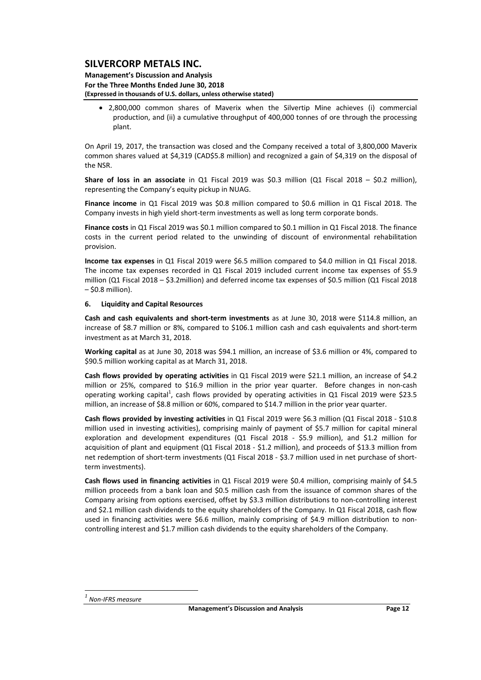#### **Management's Discussion and Analysis For the Three Months Ended June 30, 2018 (Expressed in thousands of U.S. dollars, unless otherwise stated)**

 2,800,000 common shares of Maverix when the Silvertip Mine achieves (i) commercial production, and (ii) a cumulative throughput of 400,000 tonnes of ore through the processing plant.

On April 19, 2017, the transaction was closed and the Company received a total of 3,800,000 Maverix common shares valued at \$4,319 (CAD\$5.8 million) and recognized a gain of \$4,319 on the disposal of the NSR.

**Share of loss in an associate** in Q1 Fiscal 2019 was \$0.3 million (Q1 Fiscal 2018 – \$0.2 million), representing the Company's equity pickup in NUAG.

**Finance income** in Q1 Fiscal 2019 was \$0.8 million compared to \$0.6 million in Q1 Fiscal 2018. The Company invests in high yield short‐term investments as well as long term corporate bonds.

**Finance costs** in Q1 Fiscal 2019 was \$0.1 million compared to \$0.1 million in Q1 Fiscal 2018. The finance costs in the current period related to the unwinding of discount of environmental rehabilitation provision.

**Income tax expenses** in Q1 Fiscal 2019 were \$6.5 million compared to \$4.0 million in Q1 Fiscal 2018. The income tax expenses recorded in Q1 Fiscal 2019 included current income tax expenses of \$5.9 million (Q1 Fiscal 2018 – \$3.2million) and deferred income tax expenses of \$0.5 million (Q1 Fiscal 2018 – \$0.8 million).

### **6. Liquidity and Capital Resources**

**Cash and cash equivalents and short‐term investments** as at June 30, 2018 were \$114.8 million, an increase of \$8.7 million or 8%, compared to \$106.1 million cash and cash equivalents and short‐term investment as at March 31, 2018.

**Working capital** as at June 30, 2018 was \$94.1 million, an increase of \$3.6 million or 4%, compared to \$90.5 million working capital as at March 31, 2018.

**Cash flows provided by operating activities** in Q1 Fiscal 2019 were \$21.1 million, an increase of \$4.2 million or 25%, compared to \$16.9 million in the prior year quarter. Before changes in non-cash operating working capital<sup>1</sup>, cash flows provided by operating activities in Q1 Fiscal 2019 were \$23.5 million, an increase of \$8.8 million or 60%, compared to \$14.7 million in the prior year quarter.

**Cash flows provided by investing activities** in Q1 Fiscal 2019 were \$6.3 million (Q1 Fiscal 2018 ‐ \$10.8 million used in investing activities), comprising mainly of payment of \$5.7 million for capital mineral exploration and development expenditures (Q1 Fiscal 2018 - \$5.9 million), and \$1.2 million for acquisition of plant and equipment (Q1 Fiscal 2018 ‐ \$1.2 million), and proceeds of \$13.3 million from net redemption of short-term investments (Q1 Fiscal 2018 - \$3.7 million used in net purchase of shortterm investments).

**Cash flows used in financing activities** in Q1 Fiscal 2019 were \$0.4 million, comprising mainly of \$4.5 million proceeds from a bank loan and \$0.5 million cash from the issuance of common shares of the Company arising from options exercised, offset by \$3.3 million distributions to non‐controlling interest and \$2.1 million cash dividends to the equity shareholders of the Company. In Q1 Fiscal 2018, cash flow used in financing activities were \$6.6 million, mainly comprising of \$4.9 million distribution to non‐ controlling interest and \$1.7 million cash dividends to the equity shareholders of the Company.

*<sup>1</sup> Non‐IFRS measure*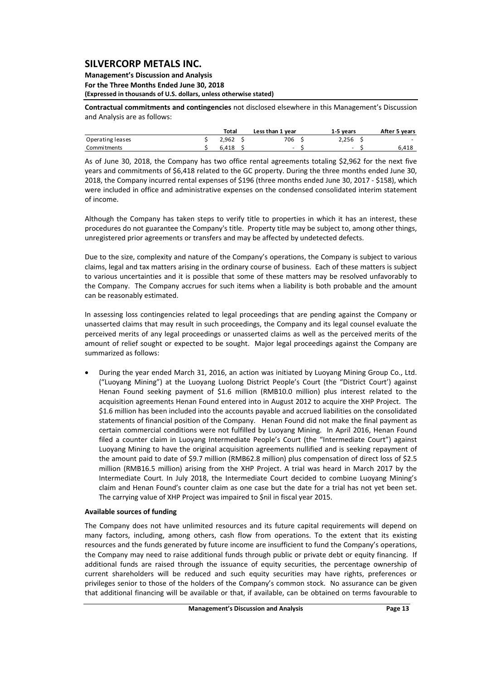#### **Management's Discussion and Analysis For the Three Months Ended June 30, 2018 (Expressed in thousands of U.S. dollars, unless otherwise stated)**

**Contractual commitments and contingencies** not disclosed elsewhere in this Management's Discussion and Analysis are as follows:

|                  | Total | Less than 1 year | 1-5 vears | After 5 years            |
|------------------|-------|------------------|-----------|--------------------------|
| Operating leases | 2.962 | 706              | 2.256     | $\overline{\phantom{0}}$ |
| Commitments      | 6.418 | $\sim$           | -         | 6,418                    |

As of June 30, 2018, the Company has two office rental agreements totaling \$2,962 for the next five years and commitments of \$6,418 related to the GC property. During the three months ended June 30, 2018, the Company incurred rental expenses of \$196 (three months ended June 30, 2017 ‐ \$158), which were included in office and administrative expenses on the condensed consolidated interim statement of income.

Although the Company has taken steps to verify title to properties in which it has an interest, these procedures do not guarantee the Company's title. Property title may be subject to, among other things, unregistered prior agreements or transfers and may be affected by undetected defects.

Due to the size, complexity and nature of the Company's operations, the Company is subject to various claims, legal and tax matters arising in the ordinary course of business. Each of these matters is subject to various uncertainties and it is possible that some of these matters may be resolved unfavorably to the Company. The Company accrues for such items when a liability is both probable and the amount can be reasonably estimated.

In assessing loss contingencies related to legal proceedings that are pending against the Company or unasserted claims that may result in such proceedings, the Company and its legal counsel evaluate the perceived merits of any legal proceedings or unasserted claims as well as the perceived merits of the amount of relief sought or expected to be sought. Major legal proceedings against the Company are summarized as follows:

 During the year ended March 31, 2016, an action was initiated by Luoyang Mining Group Co., Ltd. ("Luoyang Mining") at the Luoyang Luolong District People's Court (the "District Court') against Henan Found seeking payment of \$1.6 million (RMB10.0 million) plus interest related to the acquisition agreements Henan Found entered into in August 2012 to acquire the XHP Project. The \$1.6 million has been included into the accounts payable and accrued liabilities on the consolidated statements of financial position of the Company. Henan Found did not make the final payment as certain commercial conditions were not fulfilled by Luoyang Mining. In April 2016, Henan Found filed a counter claim in Luoyang Intermediate People's Court (the "Intermediate Court") against Luoyang Mining to have the original acquisition agreements nullified and is seeking repayment of the amount paid to date of \$9.7 million (RMB62.8 million) plus compensation of direct loss of \$2.5 million (RMB16.5 million) arising from the XHP Project. A trial was heard in March 2017 by the Intermediate Court. In July 2018, the Intermediate Court decided to combine Luoyang Mining's claim and Henan Found's counter claim as one case but the date for a trial has not yet been set. The carrying value of XHP Project was impaired to \$nil in fiscal year 2015.

### **Available sources of funding**

The Company does not have unlimited resources and its future capital requirements will depend on many factors, including, among others, cash flow from operations. To the extent that its existing resources and the funds generated by future income are insufficient to fund the Company's operations, the Company may need to raise additional funds through public or private debt or equity financing. If additional funds are raised through the issuance of equity securities, the percentage ownership of current shareholders will be reduced and such equity securities may have rights, preferences or privileges senior to those of the holders of the Company's common stock. No assurance can be given that additional financing will be available or that, if available, can be obtained on terms favourable to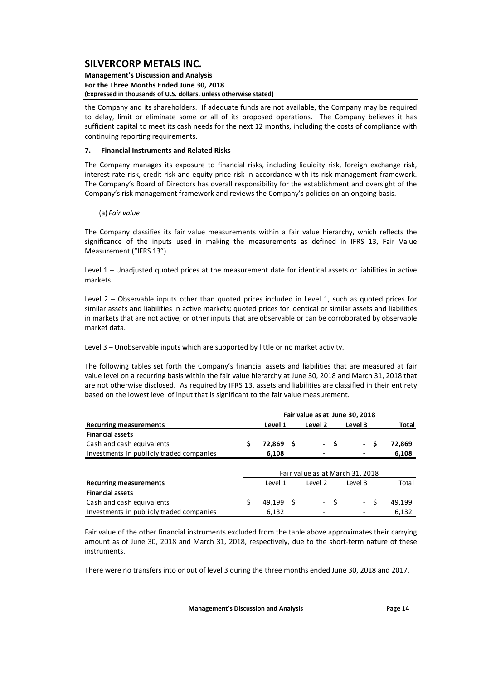#### **Management's Discussion and Analysis For the Three Months Ended June 30, 2018 (Expressed in thousands of U.S. dollars, unless otherwise stated)**

the Company and its shareholders. If adequate funds are not available, the Company may be required to delay, limit or eliminate some or all of its proposed operations. The Company believes it has sufficient capital to meet its cash needs for the next 12 months, including the costs of compliance with continuing reporting requirements.

### **7. Financial Instruments and Related Risks**

The Company manages its exposure to financial risks, including liquidity risk, foreign exchange risk, interest rate risk, credit risk and equity price risk in accordance with its risk management framework. The Company's Board of Directors has overall responsibility for the establishment and oversight of the Company's risk management framework and reviews the Company's policies on an ongoing basis.

### (a) *Fair value*

The Company classifies its fair value measurements within a fair value hierarchy, which reflects the significance of the inputs used in making the measurements as defined in IFRS 13, Fair Value Measurement ("IFRS 13").

Level 1 – Unadjusted quoted prices at the measurement date for identical assets or liabilities in active markets.

Level 2 – Observable inputs other than quoted prices included in Level 1, such as quoted prices for similar assets and liabilities in active markets; quoted prices for identical or similar assets and liabilities in markets that are not active; or other inputs that are observable or can be corroborated by observable market data.

Level 3 – Unobservable inputs which are supported by little or no market activity.

The following tables set forth the Company's financial assets and liabilities that are measured at fair value level on a recurring basis within the fair value hierarchy at June 30, 2018 and March 31, 2018 that are not otherwise disclosed. As required by IFRS 13, assets and liabilities are classified in their entirety based on the lowest level of input that is significant to the fair value measurement.

|                                          | Fair value as at June 30, 2018 |         |     |         |      |                                 |              |  |  |  |  |
|------------------------------------------|--------------------------------|---------|-----|---------|------|---------------------------------|--------------|--|--|--|--|
| <b>Recurring measurements</b>            |                                | Level 1 |     | Level 2 |      | Level 3                         | <b>Total</b> |  |  |  |  |
| <b>Financial assets</b>                  |                                |         |     |         |      |                                 |              |  |  |  |  |
| Cash and cash equivalents                | S                              | 72,869  | - S |         | - \$ | \$<br>$\sim$                    | 72,869       |  |  |  |  |
| Investments in publicly traded companies |                                | 6,108   |     |         |      |                                 | 6,108        |  |  |  |  |
|                                          |                                |         |     |         |      |                                 |              |  |  |  |  |
|                                          |                                |         |     |         |      | Fair value as at March 31, 2018 |              |  |  |  |  |
| <b>Recurring measurements</b>            |                                | Level 1 |     | Level 2 |      | Level 3                         | Total        |  |  |  |  |
| <b>Financial assets</b>                  |                                |         |     |         |      |                                 |              |  |  |  |  |
| Cash and cash equivalents                |                                | 49.199  | - S |         | - \$ | $-5$                            | 49,199       |  |  |  |  |
| Investments in publicly traded companies |                                | 6,132   |     |         |      |                                 | 6,132        |  |  |  |  |

Fair value of the other financial instruments excluded from the table above approximates their carrying amount as of June 30, 2018 and March 31, 2018, respectively, due to the short-term nature of these instruments.

There were no transfers into or out of level 3 during the three months ended June 30, 2018 and 2017.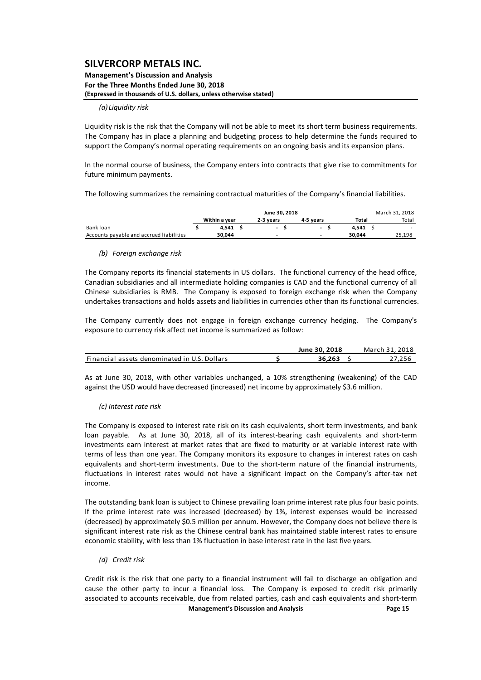#### **Management's Discussion and Analysis For the Three Months Ended June 30, 2018 (Expressed in thousands of U.S. dollars, unless otherwise stated)**

#### *(a) Liquidity risk*

Liquidity risk is the risk that the Company will not be able to meet its short term business requirements. The Company has in place a planning and budgeting process to help determine the funds required to support the Company's normal operating requirements on an ongoing basis and its expansion plans.

In the normal course of business, the Company enters into contracts that give rise to commitments for future minimum payments.

The following summarizes the remaining contractual maturities of the Company's financial liabilities.

|                                          |               |           | March 31, 2018 |                          |  |        |        |
|------------------------------------------|---------------|-----------|----------------|--------------------------|--|--------|--------|
|                                          | Within a year | 2-3 vears | 4-5 vears      |                          |  | Total  | Total  |
| Bank loan                                | 4.541         | -         |                | $\overline{\phantom{0}}$ |  | 4.541  |        |
| Accounts payable and accrued liabilities | 30.044        | -         |                |                          |  | 30.044 | 25,198 |

#### *(b) Foreign exchange risk*

The Company reports its financial statements in US dollars. The functional currency of the head office, Canadian subsidiaries and all intermediate holding companies is CAD and the functional currency of all Chinese subsidiaries is RMB. The Company is exposed to foreign exchange risk when the Company undertakes transactions and holds assets and liabilities in currencies other than its functional currencies.

The Company currently does not engage in foreign exchange currency hedging. The Company's exposure to currency risk affect net income is summarized as follow:

|                                              | June 30, 2018 | March 31. 2018     |
|----------------------------------------------|---------------|--------------------|
| Financial assets denominated in U.S. Dollars | 36.263        | <sup>2</sup> 7.256 |

As at June 30, 2018, with other variables unchanged, a 10% strengthening (weakening) of the CAD against the USD would have decreased (increased) net income by approximately \$3.6 million.

### *(c) Interest rate risk*

The Company is exposed to interest rate risk on its cash equivalents, short term investments, and bank loan payable. As at June 30, 2018, all of its interest-bearing cash equivalents and short-term investments earn interest at market rates that are fixed to maturity or at variable interest rate with terms of less than one year. The Company monitors its exposure to changes in interest rates on cash equivalents and short-term investments. Due to the short-term nature of the financial instruments, fluctuations in interest rates would not have a significant impact on the Company's after‐tax net income.

The outstanding bank loan is subject to Chinese prevailing loan prime interest rate plus four basic points. If the prime interest rate was increased (decreased) by 1%, interest expenses would be increased (decreased) by approximately \$0.5 million per annum. However, the Company does not believe there is significant interest rate risk as the Chinese central bank has maintained stable interest rates to ensure economic stability, with less than 1% fluctuation in base interest rate in the last five years.

### *(d) Credit risk*

Credit risk is the risk that one party to a financial instrument will fail to discharge an obligation and cause the other party to incur a financial loss. The Company is exposed to credit risk primarily associated to accounts receivable, due from related parties, cash and cash equivalents and short‐term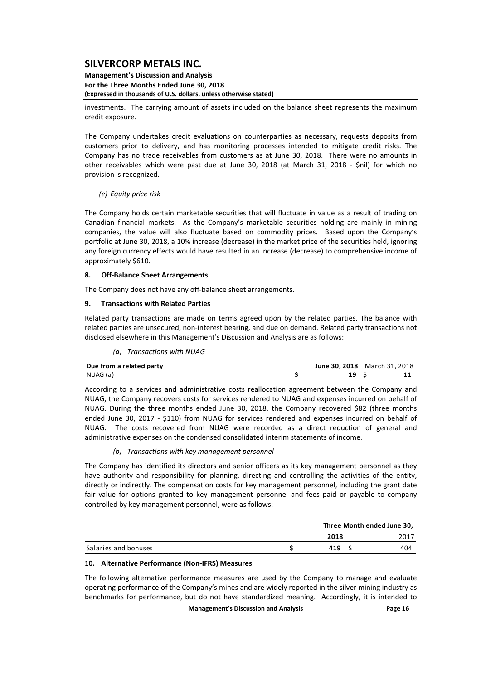#### **Management's Discussion and Analysis For the Three Months Ended June 30, 2018 (Expressed in thousands of U.S. dollars, unless otherwise stated)**

investments. The carrying amount of assets included on the balance sheet represents the maximum credit exposure.

The Company undertakes credit evaluations on counterparties as necessary, requests deposits from customers prior to delivery, and has monitoring processes intended to mitigate credit risks. The Company has no trade receivables from customers as at June 30, 2018. There were no amounts in other receivables which were past due at June 30, 2018 (at March 31, 2018 - \$nil) for which no provision is recognized.

### *(e) Equity price risk*

The Company holds certain marketable securities that will fluctuate in value as a result of trading on Canadian financial markets. As the Company's marketable securities holding are mainly in mining companies, the value will also fluctuate based on commodity prices. Based upon the Company's portfolio at June 30, 2018, a 10% increase (decrease) in the market price of the securities held, ignoring any foreign currency effects would have resulted in an increase (decrease) to comprehensive income of approximately \$610.

### **8. Off‐Balance Sheet Arrangements**

The Company does not have any off-balance sheet arrangements.

### **9. Transactions with Related Parties**

Related party transactions are made on terms agreed upon by the related parties. The balance with related parties are unsecured, non‐interest bearing, and due on demand. Related party transactions not disclosed elsewhere in this Management's Discussion and Analysis are as follows:

### *(a) Transactions with NUAG*

| Due from a related party |  | June 30.2018 March 31, 2018 |
|--------------------------|--|-----------------------------|
| NUAG (a)                 |  |                             |

According to a services and administrative costs reallocation agreement between the Company and NUAG, the Company recovers costs for services rendered to NUAG and expenses incurred on behalf of NUAG. During the three months ended June 30, 2018, the Company recovered \$82 (three months ended June 30, 2017 - \$110) from NUAG for services rendered and expenses incurred on behalf of NUAG. The costs recovered from NUAG were recorded as a direct reduction of general and administrative expenses on the condensed consolidated interim statements of income.

### *(b) Transactions with key management personnel*

The Company has identified its directors and senior officers as its key management personnel as they have authority and responsibility for planning, directing and controlling the activities of the entity, directly or indirectly. The compensation costs for key management personnel, including the grant date fair value for options granted to key management personnel and fees paid or payable to company controlled by key management personnel, were as follows:

|                      | Three Month ended June 30, |      |
|----------------------|----------------------------|------|
|                      | 2018                       | 2017 |
| Salaries and bonuses | 419                        | 404  |

### **10. Alternative Performance (Non‐IFRS) Measures**

The following alternative performance measures are used by the Company to manage and evaluate operating performance of the Company's mines and are widely reported in the silver mining industry as benchmarks for performance, but do not have standardized meaning. Accordingly, it is intended to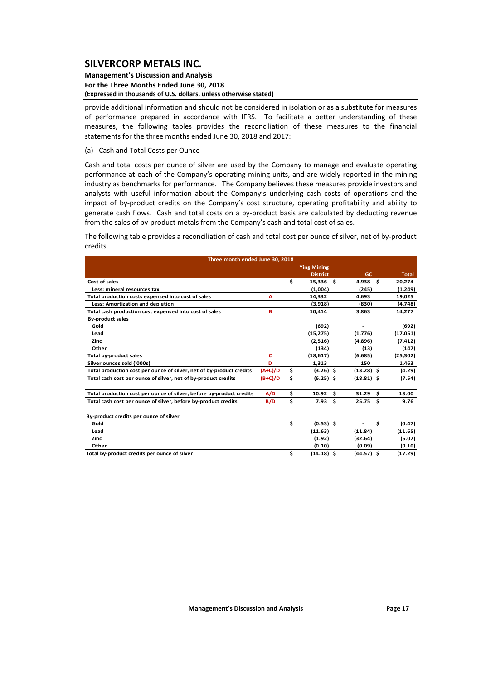#### **Management's Discussion and Analysis For the Three Months Ended June 30, 2018 (Expressed in thousands of U.S. dollars, unless otherwise stated)**

provide additional information and should not be considered in isolation or as a substitute for measures of performance prepared in accordance with IFRS. To facilitate a better understanding of these measures, the following tables provides the reconciliation of these measures to the financial statements for the three months ended June 30, 2018 and 2017:

(a) Cash and Total Costs per Ounce

Cash and total costs per ounce of silver are used by the Company to manage and evaluate operating performance at each of the Company's operating mining units, and are widely reported in the mining industry as benchmarks for performance. The Company believes these measures provide investors and analysts with useful information about the Company's underlying cash costs of operations and the impact of by-product credits on the Company's cost structure, operating profitability and ability to generate cash flows. Cash and total costs on a by‐product basis are calculated by deducting revenue from the sales of by-product metals from the Company's cash and total cost of sales.

The following table provides a reconciliation of cash and total cost per ounce of silver, net of by‐product credits.

| Three month ended June 30, 2018                                      |           |                    |                    |    |              |
|----------------------------------------------------------------------|-----------|--------------------|--------------------|----|--------------|
|                                                                      |           | <b>Ying Mining</b> |                    |    |              |
|                                                                      |           | <b>District</b>    | <b>GC</b>          |    | <b>Total</b> |
| Cost of sales                                                        |           | \$<br>15.336 \$    | 4.938 <sub>5</sub> |    | 20,274       |
| Less: mineral resources tax                                          |           | (1,004)            | (245)              |    | (1,249)      |
| Total production costs expensed into cost of sales                   | A         | 14,332             | 4.693              |    | 19,025       |
| Less: Amortization and depletion                                     |           | (3,918)            | (830)              |    | (4,748)      |
| Total cash production cost expensed into cost of sales               | в         | 10,414             | 3,863              |    | 14,277       |
| <b>By-product sales</b>                                              |           |                    |                    |    |              |
| Gold                                                                 |           | (692)              |                    |    | (692)        |
| Lead                                                                 |           | (15, 275)          | (1,776)            |    | (17,051)     |
| Zinc                                                                 |           | (2,516)            | (4,896)            |    | (7, 412)     |
| Other                                                                |           | (134)              | (13)               |    | (147)        |
| <b>Total by-product sales</b>                                        | c         | (18, 617)          | (6,685)            |    | (25, 302)    |
| Silver ounces sold ('000s)                                           | D         | 1,313              | 150                |    | 1,463        |
| Total production cost per ounce of silver, net of by-product credits | $(A+C)/D$ | \$<br>$(3.26)$ \$  | $(13.28)$ \$       |    | (4.29)       |
| Total cash cost per ounce of silver, net of by-product credits       | $(B+C)/D$ | \$<br>$(6.25)$ \$  | $(18.81)$ \$       |    | (7.54)       |
| Total production cost per ounce of silver, before by-product credits | A/D       | \$<br>10.92        | \$<br>$31.29$ \$   |    | 13.00        |
| Total cash cost per ounce of silver, before by-product credits       | B/D       | \$<br>7.93         | \$<br>25.75        | Ŝ. | 9.76         |
| By-product credits per ounce of silver                               |           |                    |                    |    |              |
| Gold                                                                 |           | \$<br>$(0.53)$ \$  |                    | \$ | (0.47)       |
| Lead                                                                 |           | (11.63)            | (11.84)            |    | (11.65)      |
| Zinc                                                                 |           | (1.92)             | (32.64)            |    | (5.07)       |
| Other                                                                |           | (0.10)             | (0.09)             |    | (0.10)       |
| Total by-product credits per ounce of silver                         |           | \$<br>$(14.18)$ \$ | $(44.57)$ \$       |    | (17.29)      |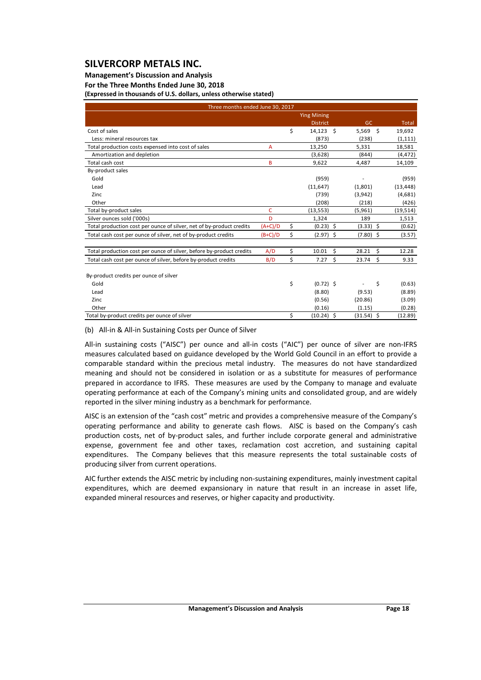## **Management's Discussion and Analysis**

### **For the Three Months Ended June 30, 2018**

**(Expressed in thousands of U.S. dollars, unless otherwise stated)**

| Three months ended June 30, 2017                                     |           |                    |    |               |              |
|----------------------------------------------------------------------|-----------|--------------------|----|---------------|--------------|
|                                                                      |           | <b>Ying Mining</b> |    |               |              |
|                                                                      |           | <b>District</b>    |    | GC            | Total        |
| Cost of sales                                                        |           | \$<br>$14,123$ \$  |    | $5,569$ \$    | 19,692       |
| Less: mineral resources tax                                          |           | (873)              |    | (238)         | (1, 111)     |
| Total production costs expensed into cost of sales                   | Α         | 13,250             |    | 5,331         | 18,581       |
| Amortization and depletion                                           |           | (3,628)            |    | (844)         | (4, 472)     |
| Total cash cost                                                      | B         | 9,622              |    | 4,487         | 14,109       |
| By-product sales                                                     |           |                    |    |               |              |
| Gold                                                                 |           | (959)              |    |               | (959)        |
| Lead                                                                 |           | (11, 647)          |    | (1,801)       | (13, 448)    |
| Zinc                                                                 |           | (739)              |    | (3,942)       | (4,681)      |
| Other                                                                |           | (208)              |    | (218)         | (426)        |
| Total by-product sales                                               | C         | (13, 553)          |    | (5,961)       | (19, 514)    |
| Silver ounces sold ('000s)                                           | D         | 1,324              |    | 189           | 1,513        |
| Total production cost per ounce of silver, net of by-product credits | $(A+C)/D$ | \$<br>$(0.23)$ \$  |    | $(3.33)$ \$   | (0.62)       |
| Total cash cost per ounce of silver, net of by-product credits       | $(B+C)/D$ | \$<br>$(2.97)$ \$  |    | $(7.80)$ \$   | (3.57)       |
| Total production cost per ounce of silver, before by-product credits | A/D       | 10.01              | \$ | 28.21         | \$<br>12.28  |
|                                                                      |           | \$                 | Ŝ. |               |              |
| Total cash cost per ounce of silver, before by-product credits       | B/D       | \$<br>7.27         |    | - \$<br>23.74 | 9.33         |
| By-product credits per ounce of silver                               |           |                    |    |               |              |
| Gold                                                                 |           | \$<br>$(0.72)$ \$  |    |               | \$<br>(0.63) |
| Lead                                                                 |           | (8.80)             |    | (9.53)        | (8.89)       |
| Zinc                                                                 |           | (0.56)             |    | (20.86)       | (3.09)       |
| Other                                                                |           | (0.16)             |    | (1.15)        | (0.28)       |
| Total by-product credits per ounce of silver                         |           | \$<br>$(10.24)$ \$ |    | $(31.54)$ \$  | (12.89)      |

### (b) All‐in & All‐in Sustaining Costs per Ounce of Silver

All-in sustaining costs ("AISC") per ounce and all-in costs ("AIC") per ounce of silver are non-IFRS measures calculated based on guidance developed by the World Gold Council in an effort to provide a comparable standard within the precious metal industry. The measures do not have standardized meaning and should not be considered in isolation or as a substitute for measures of performance prepared in accordance to IFRS. These measures are used by the Company to manage and evaluate operating performance at each of the Company's mining units and consolidated group, and are widely reported in the silver mining industry as a benchmark for performance.

AISC is an extension of the "cash cost" metric and provides a comprehensive measure of the Company's operating performance and ability to generate cash flows. AISC is based on the Company's cash production costs, net of by-product sales, and further include corporate general and administrative expense, government fee and other taxes, reclamation cost accretion, and sustaining capital expenditures. The Company believes that this measure represents the total sustainable costs of producing silver from current operations.

AIC further extends the AISC metric by including non‐sustaining expenditures, mainly investment capital expenditures, which are deemed expansionary in nature that result in an increase in asset life, expanded mineral resources and reserves, or higher capacity and productivity.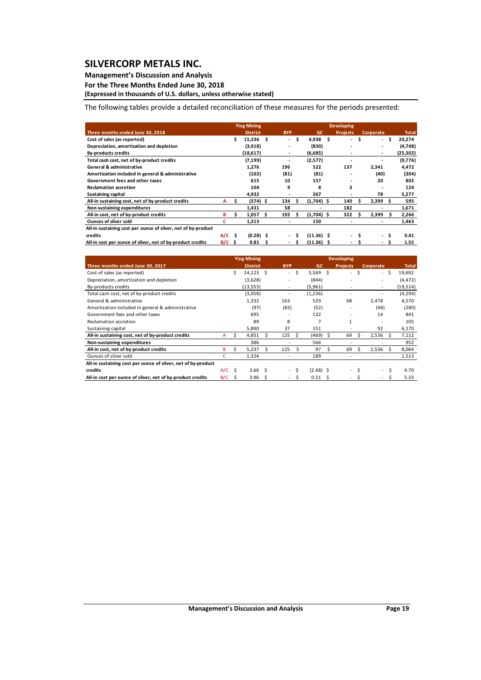### **Management's Discussion and Analysis**

**For the Three Months Ended June 30, 2018**

**(Expressed in thousands of U.S. dollars, unless otherwise stated)**

The following tables provide a detailed reconciliation of these measures for the periods presented:

|                                                               |             |    | <b>Ying Mining</b> |    |            |    |              | <b>Developing</b> |   |                          |     |              |
|---------------------------------------------------------------|-------------|----|--------------------|----|------------|----|--------------|-------------------|---|--------------------------|-----|--------------|
| Three months ended June 30, 2018                              |             |    | <b>District</b>    |    | <b>BYP</b> |    | <b>GC</b>    | <b>Projects</b>   |   | Corporate                |     | <b>Total</b> |
| Cost of sales (as reported)                                   |             | \$ | 15,336             | \$ | ٠.         | \$ | $4,938$ \$   | ۰                 | Ś | $\sim$                   | \$. | 20,274       |
| Depreciation, amortization and depletion                      |             |    | (3,918)            |    |            |    | (830)        |                   |   | ۰.                       |     | (4,748)      |
| <b>By-products credits</b>                                    |             |    | (18, 617)          |    | ۰          |    | (6,685)      |                   |   | ٠                        |     | (25, 302)    |
| Total cash cost, net of by-product credits                    |             |    | (7, 199)           |    | ٠          |    | (2,577)      |                   |   |                          |     | (9,776)      |
| <b>General &amp; administrative</b>                           |             |    | 1,276              |    | 196        |    | 522          | 137               |   | 2,341                    |     | 4,472        |
| Amortization included in general & administrative             |             |    | (102)              |    | (81)       |    | (81)         |                   |   | (40)                     |     | (304)        |
| Government fees and other taxes                               |             |    | 615                |    | 10         |    | 157          |                   |   | 20                       |     | 802          |
| <b>Reclamation accretion</b>                                  |             |    | 104                |    | 9          |    | 8            | 3                 |   |                          |     | 124          |
| Sustaining capital                                            |             |    | 4,932              |    |            |    | 267          |                   |   | 78                       |     | 5,277        |
| All-in sustaining cost, net of by-product credits             | A           | Ś  | $(374)$ \$         |    | 134        |    | $(1,704)$ \$ | 140               |   | 2,399                    | s.  | 595          |
| Non-sustaining expenditures                                   |             |    | 1,431              |    | 58         |    |              | 182               |   |                          |     | 1,671        |
| All-in cost, net of by-product credits                        | в           |    | 1,057              | -S | 192        | s  | $(1,704)$ \$ | 322               |   | 2,399                    | s   | 2,266        |
| <b>Ounces of silver sold</b>                                  | с           |    | 1,313              |    |            |    | 150          |                   |   |                          |     | 1,463        |
| All-in sustaining cost per ounce of silver, net of by-product |             |    |                    |    |            |    |              |                   |   |                          |     |              |
| credits                                                       | $A/C$ \$    |    | $(0.28)$ \$        |    | $\sim$     |    | $(11.36)$ \$ | ۰.                |   | $\overline{a}$           | Ŝ.  | 0.41         |
| All-in cost per ounce of silver, net of by-product credits    | $B/C \cong$ |    | 0.81               | s  | $\sim$     | -S | $(11.36)$ \$ | ۰                 |   | $\overline{\phantom{0}}$ | S   | 1.55         |

|                                                               |          |    | <b>Ying Mining</b> |      |                          |    |             |      | <b>Developing</b>        |           |      |              |
|---------------------------------------------------------------|----------|----|--------------------|------|--------------------------|----|-------------|------|--------------------------|-----------|------|--------------|
| Three months ended June 30, 2017                              |          |    | <b>District</b>    |      | <b>BYP</b>               |    | GC.         |      | <b>Projects</b>          | Corporate |      | <b>Total</b> |
| Cost of sales (as reported)                                   |          | Ś. | $14,123$ \$        |      | $\overline{\phantom{a}}$ | \$ | $5,569$ \$  |      | $\sim$                   | \$        | - \$ | 19,692       |
| Depreciation, amortization and depletion                      |          |    | (3,628)            |      |                          |    | (844)       |      |                          |           |      | (4, 472)     |
| By-products credits                                           |          |    | (13, 553)          |      | ٠                        |    | (5,961)     |      |                          | ۰         |      | (19, 514)    |
| Total cash cost, net of by-product credits                    |          |    | (3,058)            |      |                          |    | (1,236)     |      |                          |           |      | (4, 294)     |
| General & administrative                                      |          |    | 1,332              |      | 163                      |    | 529         |      | 68                       | 2,478     |      | 4,570        |
| Amortization included in general & administrative             |          |    | (97)               |      | (83)                     |    | (52)        |      |                          | (48)      |      | (280)        |
| Government fees and other taxes                               |          |    | 695                |      |                          |    | 132         |      |                          | 14        |      | 841          |
| Reclamation accretion                                         |          |    | 89                 |      | 8                        |    |             |      | $\mathbf{1}$             |           |      | 105          |
| Sustaining capital                                            |          |    | 5,890              |      | 37                       |    | 151         |      |                          | 92        |      | 6,170        |
| All-in sustaining cost, net of by-product credits             | A        | S. | 4,851              | S    | 125                      | Ŝ  | (469)       | Ŝ.   | 69                       | 2,536     | S    | 7,112        |
| Non-sustaining expenditures                                   |          |    | 386                |      |                          |    | 566         |      |                          |           |      | 952          |
| All-in cost, net of by-product credits                        | в        | Ś  | 5,237              | Ś.   | 125                      | Ŝ  | 97          |      | 69                       | 2,536     | Ŝ    | 8,064        |
| Ounces of silver sold                                         | c        |    | 1,324              |      |                          |    | 189         |      |                          |           |      | 1,513        |
| All-in sustaining cost per ounce of silver, net of by-product |          |    |                    |      |                          |    |             |      |                          |           |      |              |
| credits                                                       | $A/C$ \$ |    | 3.66 <sub>5</sub>  |      |                          | Ŝ  | $(2.48)$ \$ |      | $\sim$                   | $\sim$    | Ś    | 4.70         |
| All-in cost per ounce of silver, net of by-product credits    | B/C      | Ś. | 3.96               | - \$ |                          | Ś  | 0.51        | - \$ | $\overline{\phantom{0}}$ | $\sim$    | Ś    | 5.33         |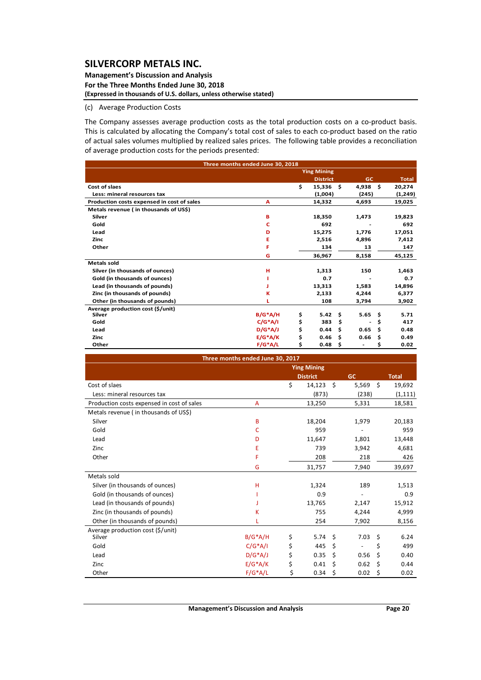#### **Management's Discussion and Analysis For the Three Months Ended June 30, 2018 (Expressed in thousands of U.S. dollars, unless otherwise stated)**

## (c) Average Production Costs

The Company assesses average production costs as the total production costs on a co-product basis. This is calculated by allocating the Company's total cost of sales to each co-product based on the ratio of actual sales volumes multiplied by realized sales prices. The following table provides a reconciliation of average production costs for the periods presented:

|                                            | Three months ended June 30, 2018 |                    |     |           |     |              |
|--------------------------------------------|----------------------------------|--------------------|-----|-----------|-----|--------------|
|                                            |                                  | <b>Ying Mining</b> |     |           |     |              |
|                                            |                                  | <b>District</b>    |     | <b>GC</b> |     | <b>Total</b> |
| Cost of slaes                              |                                  | \$<br>15,336       | Ŝ.  | 4,938     | Ŝ.  | 20,274       |
| Less: mineral resources tax                |                                  | (1,004)            |     | (245)     |     | (1,249)      |
| Production costs expensed in cost of sales | A                                | 14,332             |     | 4,693     |     | 19,025       |
| Metals revenue (in thousands of US\$)      |                                  |                    |     |           |     |              |
| Silver                                     | в                                | 18,350             |     | 1,473     |     | 19,823       |
| Gold                                       | c                                | 692                |     |           |     | 692          |
| Lead                                       | D                                | 15,275             |     | 1,776     |     | 17,051       |
| Zinc                                       | Е                                | 2,516              |     | 4,896     |     | 7,412        |
| Other                                      | F                                | 134                |     | 13        |     | 147          |
|                                            | G                                | 36,967             |     | 8,158     |     | 45,125       |
| <b>Metals sold</b>                         |                                  |                    |     |           |     |              |
| Silver (in thousands of ounces)            | н                                | 1,313              |     | 150       |     | 1,463        |
| Gold (in thousands of ounces)              |                                  | 0.7                |     |           |     | 0.7          |
| Lead (in thousands of pounds)              |                                  | 13,313             |     | 1,583     |     | 14,896       |
| Zinc (in thousands of pounds)              | К                                | 2,133              |     | 4,244     |     | 6,377        |
| Other (in thousands of pounds)             |                                  | 108                |     | 3,794     |     | 3,902        |
| Average production cost (\$/unit)          |                                  |                    |     |           |     |              |
| Silver                                     | $B/G^*A/H$                       | \$<br>5.42         | \$  | 5.65      | Ŝ.  | 5.71         |
| Gold                                       | $C/G^*A/I$                       | \$<br>383          | \$. |           | \$  | 417          |
| Lead                                       | $D/G^*A/J$                       | \$<br>0.44         | \$. | 0.65      | \$. | 0.48         |
| Zinc                                       | $E/G^*A/K$                       | \$<br>0.46         | \$. | 0.66      | \$  | 0.49         |
| Other                                      | $F/G^*A/L$                       | \$<br>0.48         | \$  |           | \$  | 0.02         |

|                                            | Three months ended June 30, 2017 |                    |    |           |    |              |
|--------------------------------------------|----------------------------------|--------------------|----|-----------|----|--------------|
|                                            |                                  | <b>Ying Mining</b> |    |           |    |              |
|                                            |                                  | <b>District</b>    |    | <b>GC</b> |    | <b>Total</b> |
| Cost of slaes                              |                                  | \$<br>14,123       | Ŝ. | 5,569     | \$ | 19,692       |
| Less: mineral resources tax                |                                  | (873)              |    | (238)     |    | (1, 111)     |
| Production costs expensed in cost of sales | А                                | 13,250             |    | 5,331     |    | 18,581       |
| Metals revenue (in thousands of US\$)      |                                  |                    |    |           |    |              |
| Silver                                     | B                                | 18,204             |    | 1,979     |    | 20,183       |
| Gold                                       | с                                | 959                |    |           |    | 959          |
| Lead                                       | D                                | 11,647             |    | 1,801     |    | 13,448       |
| Zinc                                       | Ε                                | 739                |    | 3,942     |    | 4,681        |
| Other                                      | F                                | 208                |    | 218       |    | 426          |
|                                            | G                                | 31,757             |    | 7,940     |    | 39,697       |
| Metals sold                                |                                  |                    |    |           |    |              |
| Silver (in thousands of ounces)            | н                                | 1,324              |    | 189       |    | 1,513        |
| Gold (in thousands of ounces)              |                                  | 0.9                |    |           |    | 0.9          |
| Lead (in thousands of pounds)              |                                  | 13,765             |    | 2,147     |    | 15,912       |
| Zinc (in thousands of pounds)              | К                                | 755                |    | 4,244     |    | 4,999        |
| Other (in thousands of pounds)             |                                  | 254                |    | 7,902     |    | 8,156        |
| Average production cost (\$/unit)          |                                  |                    |    |           |    |              |
| Silver                                     | $B/G^*A/H$                       | \$<br>5.74         | Ŝ. | 7.03      | \$ | 6.24         |
| Gold                                       | $C/G^*A/I$                       | \$<br>445          | \$ |           | \$ | 499          |
| Lead                                       | $D/G^*A/J$                       | \$<br>0.35         | \$ | 0.56      | Ś  | 0.40         |
| Zinc                                       | $E/G^*A/K$                       | \$<br>0.41         | \$ | 0.62      | \$ | 0.44         |
| Other                                      | $F/G^*A/L$                       | \$<br>0.34         | \$ | 0.02      | \$ | 0.02         |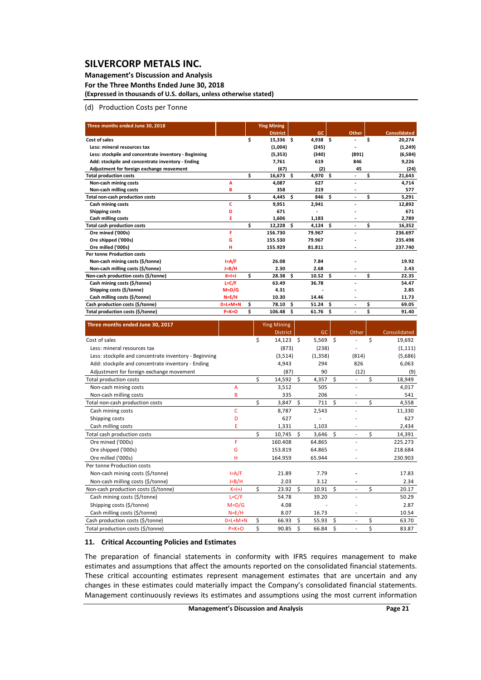### **Management's Discussion and Analysis For the Three Months Ended June 30, 2018**

**(Expressed in thousands of U.S. dollars, unless otherwise stated)**

### (d) Production Costs per Tonne

| Three months ended June 30, 2018                      |             |    | <b>Ying Mining</b> |     |                    |     |                |    |                     |
|-------------------------------------------------------|-------------|----|--------------------|-----|--------------------|-----|----------------|----|---------------------|
|                                                       |             |    | <b>District</b>    |     | GC                 |     | Other          |    | <b>Consolidated</b> |
| Cost of sales                                         |             | \$ | $15,336$ \$        |     | $4,938$ \$         |     | ٠              | Ś  | 20,274              |
| Less: mineral resources tax                           |             |    | (1,004)            |     | (245)              |     |                |    | (1,249)             |
| Less: stockpile and concentrate inventory - Beginning |             |    | (5, 353)           |     | (340)              |     | (891)          |    | (6,584)             |
| Add: stockpile and concentrate inventory - Ending     |             |    | 7.761              |     | 619                |     | 846            |    | 9,226               |
| Adjustment for foreign exchange movement              |             |    | (67)               |     | (2)                |     | 45             |    | (24)                |
| <b>Total production costs</b>                         |             | Ś  | 16,673             | s.  | 4,970              | Ś   | $\blacksquare$ | Ś  | 21,643              |
| Non-cash mining costs                                 | A           |    | 4,087              |     | 627                |     | ٠              |    | 4,714               |
| Non-cash milling costs                                | B           |    | 358                |     | 219                |     |                |    | 577                 |
| <b>Total non-cash production costs</b>                |             | Ś  | 4,445              | - Ś | 846                | Ś   | $\blacksquare$ | Ś  | 5,291               |
| Cash mining costs                                     | c           |    | 9,951              |     | 2,941              |     | ٠              |    | 12,892              |
| Shipping costs                                        | D           |    | 671                |     |                    |     |                |    | 671                 |
| <b>Cash milling costs</b>                             | E           |    | 1,606              |     | 1,183              |     |                |    | 2,789               |
| <b>Total cash production costs</b>                    |             | Ś  | 12,228             | s.  | 4,124              | \$. | ٠              | Ś  | 16,352              |
| Ore mined ('000s)                                     | F           |    | 156.730            |     | 79.967             |     |                |    | 236.697             |
| Ore shipped ('000s)                                   | G           |    | 155.530            |     | 79.967             |     |                |    | 235.498             |
| Ore milled ('000s)                                    | н           |    | 155.929            |     | 81.811             |     |                |    | 237.740             |
| <b>Per tonne Production costs</b>                     |             |    |                    |     |                    |     |                |    |                     |
| Non-cash mining costs (\$/tonne)                      | $I = A/F$   |    | 26.08              |     | 7.84               |     |                |    | 19.92               |
| Non-cash milling costs (\$/tonne)                     | J=B/H       |    | 2.30               |     | 2.68               |     |                |    | 2.43                |
| Non-cash production costs (\$/tonne)                  | $K=H+J$     | Ś. | 28.38 <sup>5</sup> |     | 10.52 <sub>5</sub> |     |                | Ś  | 22.35               |
| Cash mining costs (\$/tonne)                          | $L = C/F$   |    | 63.49              |     | 36.78              |     |                |    | 54.47               |
| Shipping costs (\$/tonne)                             | $M=D/G$     |    | 4.31               |     |                    |     |                |    | 2.85                |
| Cash milling costs (\$/tonne)                         | $N=E/H$     |    | 10.30              |     | 14.46              |     |                |    | 11.73               |
| Cash production costs (\$/tonne)                      | $0=L+M+N$   | Ś. | 78.10              | - Ś | 51.24              | \$. | ٠              | \$ | 69.05               |
| Total production costs (\$/tonne)                     | $P = K + O$ | Ś  | 106.48             | -\$ | 61.76              | \$  | ٠              | \$ | 91.40               |

| Three months ended June 30, 2017                      |             |    | <b>Ying Mining</b> |      |           |      |                          |    |              |
|-------------------------------------------------------|-------------|----|--------------------|------|-----------|------|--------------------------|----|--------------|
|                                                       |             |    | <b>District</b>    |      | <b>GC</b> |      | Other                    |    | Consolidated |
| Cost of sales                                         |             | Ś  | 14,123             | - \$ | 5,569     | - \$ |                          | Ś  | 19,692       |
| Less: mineral resources tax                           |             |    | (873)              |      | (238)     |      |                          |    | (1, 111)     |
| Less: stockpile and concentrate inventory - Beginning |             |    | (3,514)            |      | (1, 358)  |      | (814)                    |    | (5,686)      |
| Add: stockpile and concentrate inventory - Ending     |             |    | 4,943              |      | 294       |      | 826                      |    | 6,063        |
| Adjustment for foreign exchange movement              |             |    | (87)               |      | 90        |      | (12)                     |    | (9)          |
| <b>Total production costs</b>                         |             | Ś. | 14,592             | Ś.   | 4,357     | Ś.   |                          | \$ | 18,949       |
| Non-cash mining costs                                 | A           |    | 3,512              |      | 505       |      |                          |    | 4,017        |
| Non-cash milling costs                                | B           |    | 335                |      | 206       |      | $\overline{\phantom{a}}$ |    | 541          |
| Total non-cash production costs                       |             | \$ | 3,847              | \$   | 711       | \$   |                          | \$ | 4,558        |
| Cash mining costs                                     | C           |    | 8,787              |      | 2,543     |      |                          |    | 11,330       |
| Shipping costs                                        | D           |    | 627                |      |           |      |                          |    | 627          |
| Cash milling costs                                    | E           |    | 1,331              |      | 1,103     |      |                          |    | 2,434        |
| Total cash production costs                           |             | Ś  | 10,745             | Ś.   | 3,646     | \$   |                          | \$ | 14,391       |
| Ore mined ('000s)                                     | F           |    | 160.408            |      | 64.865    |      |                          |    | 225.273      |
| Ore shipped ('000s)                                   | G           |    | 153.819            |      | 64.865    |      |                          |    | 218.684      |
| Ore milled ('000s)                                    | н           |    | 164.959            |      | 65.944    |      |                          |    | 230.903      |
| Per tonne Production costs                            |             |    |                    |      |           |      |                          |    |              |
| Non-cash mining costs (\$/tonne)                      | $I = A/F$   |    | 21.89              |      | 7.79      |      |                          |    | 17.83        |
| Non-cash milling costs (\$/tonne)                     | $J=B/H$     |    | 2.03               |      | 3.12      |      |                          |    | 2.34         |
| Non-cash production costs (\$/tonne)                  | $K=H+J$     | Ś. | 23.92              | Ś.   | 10.91     | Ś    | $\overline{a}$           | \$ | 20.17        |
| Cash mining costs (\$/tonne)                          | $L = C/F$   |    | 54.78              |      | 39.20     |      |                          |    | 50.29        |
| Shipping costs (\$/tonne)                             | $M = D/G$   |    | 4.08               |      |           |      |                          |    | 2.87         |
| Cash milling costs (\$/tonne)                         | $N = E/H$   |    | 8.07               |      | 16.73     |      | $\overline{a}$           |    | 10.54        |
| Cash production costs (\$/tonne)                      | $0=L+M+N$   | Ś  | 66.93              | Ś    | 55.93     | Ś    | $\overline{\phantom{m}}$ | \$ | 63.70        |
| Total production costs (\$/tonne)                     | $P = K + O$ | \$ | 90.85              | Ś    | 66.84     | \$   | $\overline{a}$           | \$ | 83.87        |

#### **11. Critical Accounting Policies and Estimates**

The preparation of financial statements in conformity with IFRS requires management to make estimates and assumptions that affect the amounts reported on the consolidated financial statements. These critical accounting estimates represent management estimates that are uncertain and any changes in these estimates could materially impact the Company's consolidated financial statements. Management continuously reviews its estimates and assumptions using the most current information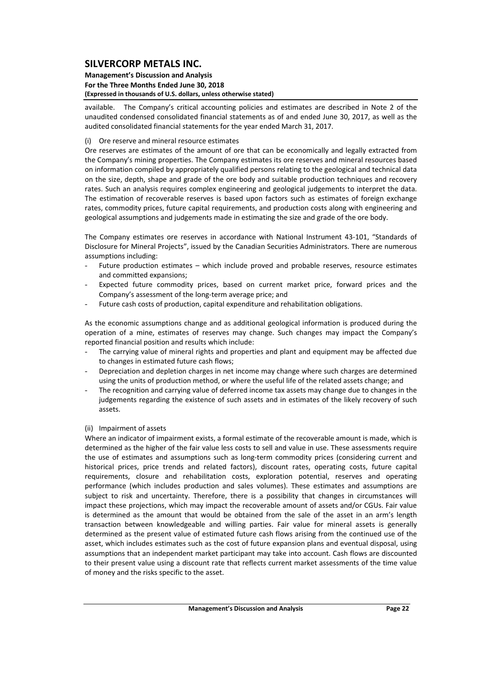### **Management's Discussion and Analysis For the Three Months Ended June 30, 2018 (Expressed in thousands of U.S. dollars, unless otherwise stated)**

available. The Company's critical accounting policies and estimates are described in Note 2 of the unaudited condensed consolidated financial statements as of and ended June 30, 2017, as well as the audited consolidated financial statements for the year ended March 31, 2017.

### (i) Ore reserve and mineral resource estimates

Ore reserves are estimates of the amount of ore that can be economically and legally extracted from the Company's mining properties. The Company estimates its ore reserves and mineral resources based on information compiled by appropriately qualified persons relating to the geological and technical data on the size, depth, shape and grade of the ore body and suitable production techniques and recovery rates. Such an analysis requires complex engineering and geological judgements to interpret the data. The estimation of recoverable reserves is based upon factors such as estimates of foreign exchange rates, commodity prices, future capital requirements, and production costs along with engineering and geological assumptions and judgements made in estimating the size and grade of the ore body.

The Company estimates ore reserves in accordance with National Instrument 43‐101, "Standards of Disclosure for Mineral Projects", issued by the Canadian Securities Administrators. There are numerous assumptions including:

- Future production estimates which include proved and probable reserves, resource estimates and committed expansions;
- Expected future commodity prices, based on current market price, forward prices and the Company's assessment of the long‐term average price; and
- Future cash costs of production, capital expenditure and rehabilitation obligations.

As the economic assumptions change and as additional geological information is produced during the operation of a mine, estimates of reserves may change. Such changes may impact the Company's reported financial position and results which include:

- The carrying value of mineral rights and properties and plant and equipment may be affected due to changes in estimated future cash flows;
- Depreciation and depletion charges in net income may change where such charges are determined using the units of production method, or where the useful life of the related assets change; and
- The recognition and carrying value of deferred income tax assets may change due to changes in the judgements regarding the existence of such assets and in estimates of the likely recovery of such assets.

## (ii) Impairment of assets

Where an indicator of impairment exists, a formal estimate of the recoverable amount is made, which is determined as the higher of the fair value less costs to sell and value in use. These assessments require the use of estimates and assumptions such as long-term commodity prices (considering current and historical prices, price trends and related factors), discount rates, operating costs, future capital requirements, closure and rehabilitation costs, exploration potential, reserves and operating performance (which includes production and sales volumes). These estimates and assumptions are subject to risk and uncertainty. Therefore, there is a possibility that changes in circumstances will impact these projections, which may impact the recoverable amount of assets and/or CGUs. Fair value is determined as the amount that would be obtained from the sale of the asset in an arm's length transaction between knowledgeable and willing parties. Fair value for mineral assets is generally determined as the present value of estimated future cash flows arising from the continued use of the asset, which includes estimates such as the cost of future expansion plans and eventual disposal, using assumptions that an independent market participant may take into account. Cash flows are discounted to their present value using a discount rate that reflects current market assessments of the time value of money and the risks specific to the asset.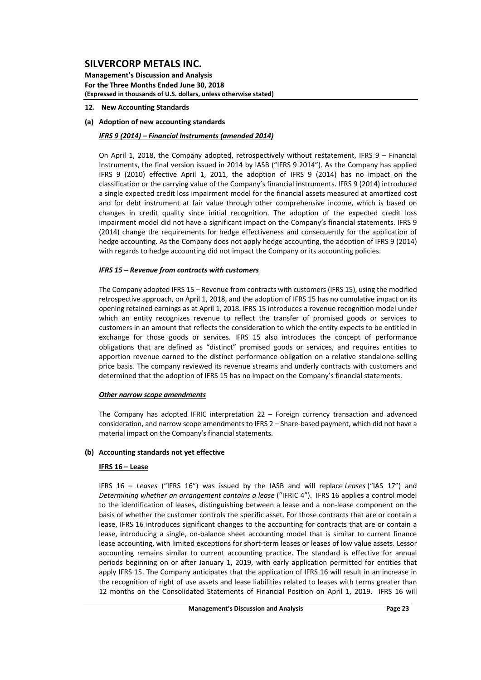**Management's Discussion and Analysis For the Three Months Ended June 30, 2018 (Expressed in thousands of U.S. dollars, unless otherwise stated)**

- **12. New Accounting Standards**
- **(a) Adoption of new accounting standards**

### *IFRS 9 (2014) – Financial Instruments (amended 2014)*

On April 1, 2018, the Company adopted, retrospectively without restatement, IFRS 9 – Financial Instruments, the final version issued in 2014 by IASB ("IFRS 9 2014"). As the Company has applied IFRS 9 (2010) effective April 1, 2011, the adoption of IFRS 9 (2014) has no impact on the classification or the carrying value of the Company's financial instruments. IFRS 9 (2014) introduced a single expected credit loss impairment model for the financial assets measured at amortized cost and for debt instrument at fair value through other comprehensive income, which is based on changes in credit quality since initial recognition. The adoption of the expected credit loss impairment model did not have a significant impact on the Company's financial statements. IFRS 9 (2014) change the requirements for hedge effectiveness and consequently for the application of hedge accounting. As the Company does not apply hedge accounting, the adoption of IFRS 9 (2014) with regards to hedge accounting did not impact the Company or its accounting policies.

### *IFRS 15 – Revenue from contracts with customers*

The Company adopted IFRS 15 – Revenue from contracts with customers (IFRS 15), using the modified retrospective approach, on April 1, 2018, and the adoption of IFRS 15 has no cumulative impact on its opening retained earnings as at April 1, 2018. IFRS 15 introduces a revenue recognition model under which an entity recognizes revenue to reflect the transfer of promised goods or services to customers in an amount that reflects the consideration to which the entity expects to be entitled in exchange for those goods or services. IFRS 15 also introduces the concept of performance obligations that are defined as "distinct" promised goods or services, and requires entities to apportion revenue earned to the distinct performance obligation on a relative standalone selling price basis. The company reviewed its revenue streams and underly contracts with customers and determined that the adoption of IFRS 15 has no impact on the Company's financial statements.

### *Other narrow scope amendments*

The Company has adopted IFRIC interpretation 22 – Foreign currency transaction and advanced consideration, and narrow scope amendments to IFRS 2 – Share-based payment, which did not have a material impact on the Company's financial statements.

## **(b) Accounting standards not yet effective**

### **IFRS 16 – Lease**

IFRS 16 – *Leases* ("IFRS 16") was issued by the IASB and will replace *Leases* ("IAS 17") and *Determining whether an arrangement contains a lease* ("IFRIC 4"). IFRS 16 applies a control model to the identification of leases, distinguishing between a lease and a non-lease component on the basis of whether the customer controls the specific asset. For those contracts that are or contain a lease, IFRS 16 introduces significant changes to the accounting for contracts that are or contain a lease, introducing a single, on‐balance sheet accounting model that is similar to current finance lease accounting, with limited exceptions for short-term leases or leases of low value assets. Lessor accounting remains similar to current accounting practice. The standard is effective for annual periods beginning on or after January 1, 2019, with early application permitted for entities that apply IFRS 15. The Company anticipates that the application of IFRS 16 will result in an increase in the recognition of right of use assets and lease liabilities related to leases with terms greater than 12 months on the Consolidated Statements of Financial Position on April 1, 2019. IFRS 16 will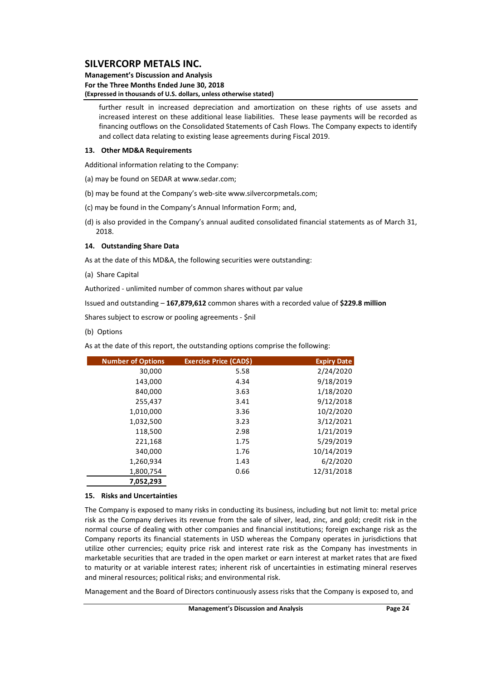### **Management's Discussion and Analysis For the Three Months Ended June 30, 2018 (Expressed in thousands of U.S. dollars, unless otherwise stated)**

further result in increased depreciation and amortization on these rights of use assets and increased interest on these additional lease liabilities. These lease payments will be recorded as financing outflows on the Consolidated Statements of Cash Flows. The Company expects to identify and collect data relating to existing lease agreements during Fiscal 2019.

#### **13. Other MD&A Requirements**

Additional information relating to the Company:

- (a) may be found on SEDAR at www.sedar.com;
- (b) may be found at the Company's web‐site www.silvercorpmetals.com;
- (c) may be found in the Company's Annual Information Form; and,
- (d) is also provided in the Company's annual audited consolidated financial statements as of March 31, 2018.

### **14. Outstanding Share Data**

As at the date of this MD&A, the following securities were outstanding:

(a) Share Capital

Authorized ‐ unlimited number of common shares without par value

Issued and outstanding – **167,879,612** common shares with a recorded value of **\$229.8 million**

Shares subject to escrow or pooling agreements ‐ \$nil

(b) Options

As at the date of this report, the outstanding options comprise the following:

| <b>Number of Options</b> | Exercise Price (CAD\$) | <b>Expiry Date</b> |
|--------------------------|------------------------|--------------------|
| 30,000                   | 5.58                   | 2/24/2020          |
| 143,000                  | 4.34                   | 9/18/2019          |
| 840,000                  | 3.63                   | 1/18/2020          |
| 255,437                  | 3.41                   | 9/12/2018          |
| 1,010,000                | 3.36                   | 10/2/2020          |
| 1,032,500                | 3.23                   | 3/12/2021          |
| 118,500                  | 2.98                   | 1/21/2019          |
| 221,168                  | 1.75                   | 5/29/2019          |
| 340,000                  | 1.76                   | 10/14/2019         |
| 1,260,934                | 1.43                   | 6/2/2020           |
| 1,800,754                | 0.66                   | 12/31/2018         |
| 7,052,293                |                        |                    |

#### **15. Risks and Uncertainties**

The Company is exposed to many risks in conducting its business, including but not limit to: metal price risk as the Company derives its revenue from the sale of silver, lead, zinc, and gold; credit risk in the normal course of dealing with other companies and financial institutions; foreign exchange risk as the Company reports its financial statements in USD whereas the Company operates in jurisdictions that utilize other currencies; equity price risk and interest rate risk as the Company has investments in marketable securities that are traded in the open market or earn interest at market rates that are fixed to maturity or at variable interest rates; inherent risk of uncertainties in estimating mineral reserves and mineral resources; political risks; and environmental risk.

Management and the Board of Directors continuously assess risks that the Company is exposed to, and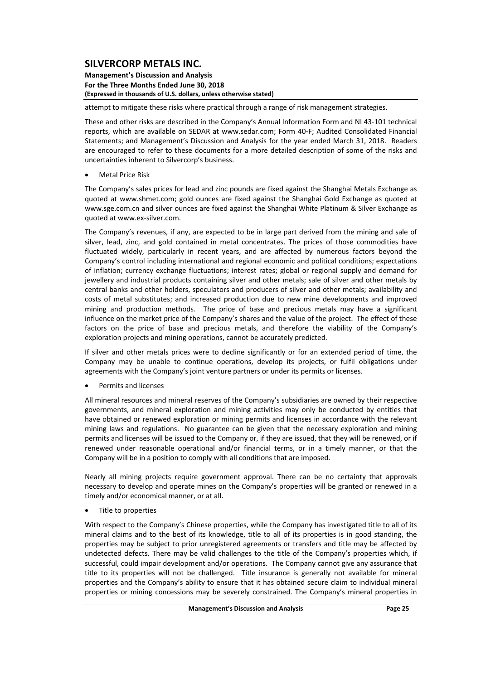**Management's Discussion and Analysis For the Three Months Ended June 30, 2018 (Expressed in thousands of U.S. dollars, unless otherwise stated)**

attempt to mitigate these risks where practical through a range of risk management strategies.

These and other risks are described in the Company's Annual Information Form and NI 43‐101 technical reports, which are available on SEDAR at www.sedar.com; Form 40‐F; Audited Consolidated Financial Statements; and Management's Discussion and Analysis for the year ended March 31, 2018. Readers are encouraged to refer to these documents for a more detailed description of some of the risks and uncertainties inherent to Silvercorp's business.

Metal Price Risk

The Company's sales prices for lead and zinc pounds are fixed against the Shanghai Metals Exchange as quoted at www.shmet.com; gold ounces are fixed against the Shanghai Gold Exchange as quoted at www.sge.com.cn and silver ounces are fixed against the Shanghai White Platinum & Silver Exchange as quoted at www.ex‐silver.com.

The Company's revenues, if any, are expected to be in large part derived from the mining and sale of silver, lead, zinc, and gold contained in metal concentrates. The prices of those commodities have fluctuated widely, particularly in recent years, and are affected by numerous factors beyond the Company's control including international and regional economic and political conditions; expectations of inflation; currency exchange fluctuations; interest rates; global or regional supply and demand for jewellery and industrial products containing silver and other metals; sale of silver and other metals by central banks and other holders, speculators and producers of silver and other metals; availability and costs of metal substitutes; and increased production due to new mine developments and improved mining and production methods. The price of base and precious metals may have a significant influence on the market price of the Company's shares and the value of the project. The effect of these factors on the price of base and precious metals, and therefore the viability of the Company's exploration projects and mining operations, cannot be accurately predicted.

If silver and other metals prices were to decline significantly or for an extended period of time, the Company may be unable to continue operations, develop its projects, or fulfil obligations under agreements with the Company's joint venture partners or under its permits or licenses.

Permits and licenses

All mineral resources and mineral reserves of the Company's subsidiaries are owned by their respective governments, and mineral exploration and mining activities may only be conducted by entities that have obtained or renewed exploration or mining permits and licenses in accordance with the relevant mining laws and regulations. No guarantee can be given that the necessary exploration and mining permits and licenses will be issued to the Company or, if they are issued, that they will be renewed, or if renewed under reasonable operational and/or financial terms, or in a timely manner, or that the Company will be in a position to comply with all conditions that are imposed.

Nearly all mining projects require government approval. There can be no certainty that approvals necessary to develop and operate mines on the Company's properties will be granted or renewed in a timely and/or economical manner, or at all.

Title to properties

With respect to the Company's Chinese properties, while the Company has investigated title to all of its mineral claims and to the best of its knowledge, title to all of its properties is in good standing, the properties may be subject to prior unregistered agreements or transfers and title may be affected by undetected defects. There may be valid challenges to the title of the Company's properties which, if successful, could impair development and/or operations. The Company cannot give any assurance that title to its properties will not be challenged. Title insurance is generally not available for mineral properties and the Company's ability to ensure that it has obtained secure claim to individual mineral properties or mining concessions may be severely constrained. The Company's mineral properties in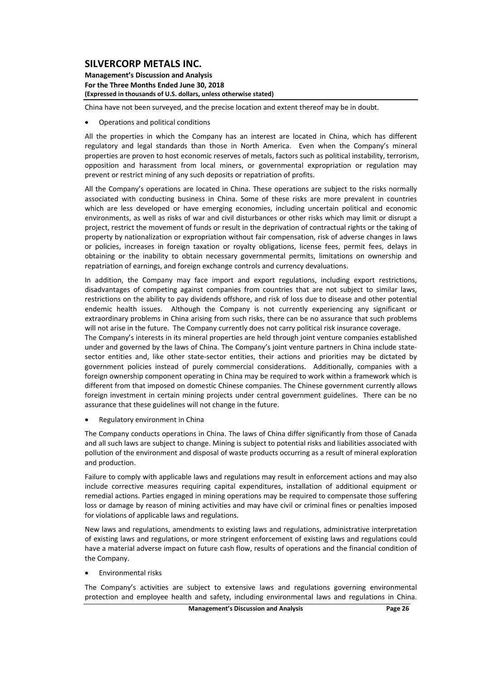**Management's Discussion and Analysis For the Three Months Ended June 30, 2018 (Expressed in thousands of U.S. dollars, unless otherwise stated)**

China have not been surveyed, and the precise location and extent thereof may be in doubt.

Operations and political conditions

All the properties in which the Company has an interest are located in China, which has different regulatory and legal standards than those in North America. Even when the Company's mineral properties are proven to host economic reserves of metals, factors such as political instability, terrorism, opposition and harassment from local miners, or governmental expropriation or regulation may prevent or restrict mining of any such deposits or repatriation of profits.

All the Company's operations are located in China. These operations are subject to the risks normally associated with conducting business in China. Some of these risks are more prevalent in countries which are less developed or have emerging economies, including uncertain political and economic environments, as well as risks of war and civil disturbances or other risks which may limit or disrupt a project, restrict the movement of funds or result in the deprivation of contractual rights or the taking of property by nationalization or expropriation without fair compensation, risk of adverse changes in laws or policies, increases in foreign taxation or royalty obligations, license fees, permit fees, delays in obtaining or the inability to obtain necessary governmental permits, limitations on ownership and repatriation of earnings, and foreign exchange controls and currency devaluations.

In addition, the Company may face import and export regulations, including export restrictions, disadvantages of competing against companies from countries that are not subject to similar laws, restrictions on the ability to pay dividends offshore, and risk of loss due to disease and other potential endemic health issues. Although the Company is not currently experiencing any significant or extraordinary problems in China arising from such risks, there can be no assurance that such problems will not arise in the future. The Company currently does not carry political risk insurance coverage.

The Company's interests in its mineral properties are held through joint venture companies established under and governed by the laws of China. The Company's joint venture partners in China include statesector entities and, like other state-sector entities, their actions and priorities may be dictated by government policies instead of purely commercial considerations. Additionally, companies with a foreign ownership component operating in China may be required to work within a framework which is different from that imposed on domestic Chinese companies. The Chinese government currently allows foreign investment in certain mining projects under central government guidelines. There can be no assurance that these guidelines will not change in the future.

Regulatory environment in China

The Company conducts operations in China. The laws of China differ significantly from those of Canada and all such laws are subject to change. Mining is subject to potential risks and liabilities associated with pollution of the environment and disposal of waste products occurring as a result of mineral exploration and production.

Failure to comply with applicable laws and regulations may result in enforcement actions and may also include corrective measures requiring capital expenditures, installation of additional equipment or remedial actions. Parties engaged in mining operations may be required to compensate those suffering loss or damage by reason of mining activities and may have civil or criminal fines or penalties imposed for violations of applicable laws and regulations.

New laws and regulations, amendments to existing laws and regulations, administrative interpretation of existing laws and regulations, or more stringent enforcement of existing laws and regulations could have a material adverse impact on future cash flow, results of operations and the financial condition of the Company.

Environmental risks

The Company's activities are subject to extensive laws and regulations governing environmental protection and employee health and safety, including environmental laws and regulations in China.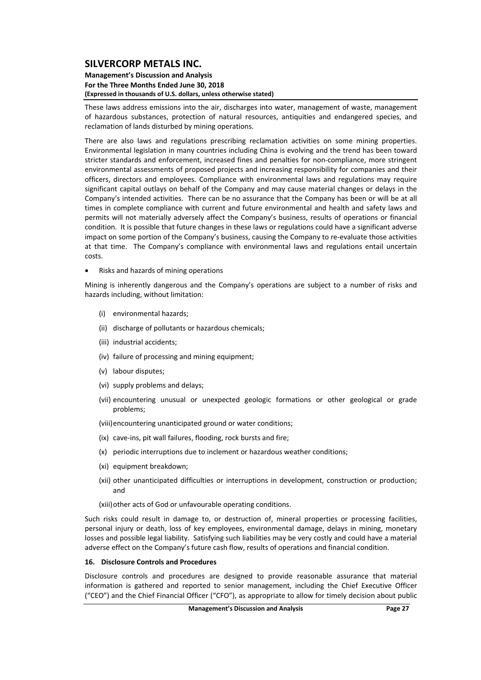#### **Management's Discussion and Analysis For the Three Months Ended June 30, 2018 (Expressed in thousands of U.S. dollars, unless otherwise stated)**

These laws address emissions into the air, discharges into water, management of waste, management of hazardous substances, protection of natural resources, antiquities and endangered species, and reclamation of lands disturbed by mining operations.

There are also laws and regulations prescribing reclamation activities on some mining properties. Environmental legislation in many countries including China is evolving and the trend has been toward stricter standards and enforcement, increased fines and penalties for non‐compliance, more stringent environmental assessments of proposed projects and increasing responsibility for companies and their officers, directors and employees. Compliance with environmental laws and regulations may require significant capital outlays on behalf of the Company and may cause material changes or delays in the Company's intended activities. There can be no assurance that the Company has been or will be at all times in complete compliance with current and future environmental and health and safety laws and permits will not materially adversely affect the Company's business, results of operations or financial condition. It is possible that future changes in these laws or regulations could have a significant adverse impact on some portion of the Company's business, causing the Company to re-evaluate those activities at that time. The Company's compliance with environmental laws and regulations entail uncertain costs.

Risks and hazards of mining operations

Mining is inherently dangerous and the Company's operations are subject to a number of risks and hazards including, without limitation:

- (i) environmental hazards;
- (ii) discharge of pollutants or hazardous chemicals;
- (iii) industrial accidents;
- (iv) failure of processing and mining equipment;
- (v) labour disputes;
- (vi) supply problems and delays;
- (vii) encountering unusual or unexpected geologic formations or other geological or grade problems;

(viii)encountering unanticipated ground or water conditions;

- (ix) cave‐ins, pit wall failures, flooding, rock bursts and fire;
- (x) periodic interruptions due to inclement or hazardous weather conditions;
- (xi) equipment breakdown:
- (xii) other unanticipated difficulties or interruptions in development, construction or production; and

(xiii)other acts of God or unfavourable operating conditions.

Such risks could result in damage to, or destruction of, mineral properties or processing facilities, personal injury or death, loss of key employees, environmental damage, delays in mining, monetary losses and possible legal liability. Satisfying such liabilities may be very costly and could have a material adverse effect on the Company's future cash flow, results of operations and financial condition.

#### **16. Disclosure Controls and Procedures**

Disclosure controls and procedures are designed to provide reasonable assurance that material information is gathered and reported to senior management, including the Chief Executive Officer ("CEO") and the Chief Financial Officer ("CFO"), as appropriate to allow for timely decision about public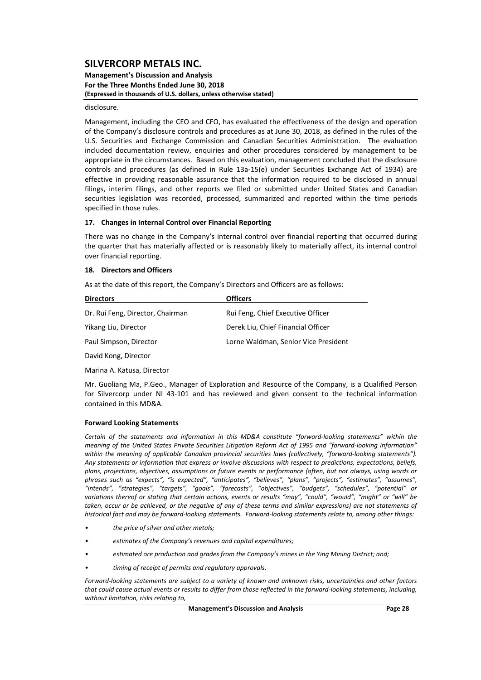#### **Management's Discussion and Analysis For the Three Months Ended June 30, 2018 (Expressed in thousands of U.S. dollars, unless otherwise stated)**

#### disclosure.

Management, including the CEO and CFO, has evaluated the effectiveness of the design and operation of the Company's disclosure controls and procedures as at June 30, 2018, as defined in the rules of the U.S. Securities and Exchange Commission and Canadian Securities Administration. The evaluation included documentation review, enquiries and other procedures considered by management to be appropriate in the circumstances. Based on this evaluation, management concluded that the disclosure controls and procedures (as defined in Rule 13a‐15(e) under Securities Exchange Act of 1934) are effective in providing reasonable assurance that the information required to be disclosed in annual filings, interim filings, and other reports we filed or submitted under United States and Canadian securities legislation was recorded, processed, summarized and reported within the time periods specified in those rules.

#### **17. Changes in Internal Control over Financial Reporting**

There was no change in the Company's internal control over financial reporting that occurred during the quarter that has materially affected or is reasonably likely to materially affect, its internal control over financial reporting.

#### **18. Directors and Officers**

As at the date of this report, the Company's Directors and Officers are as follows:

| <b>Directors</b>                 | <b>Officers</b>                      |
|----------------------------------|--------------------------------------|
| Dr. Rui Feng, Director, Chairman | Rui Feng, Chief Executive Officer    |
| Yikang Liu, Director             | Derek Liu, Chief Financial Officer   |
| Paul Simpson, Director           | Lorne Waldman, Senior Vice President |
|                                  |                                      |

David Kong, Director

Marina A. Katusa, Director

Mr. Guoliang Ma, P.Geo., Manager of Exploration and Resource of the Company, is a Qualified Person for Silvercorp under NI 43‐101 and has reviewed and given consent to the technical information contained in this MD&A.

#### **Forward Looking Statements**

*Certain of the statements and information in this MD&A constitute "forward‐looking statements" within the* meaning of the United States Private Securities Litigation Reform Act of 1995 and "forward-looking information" *within the meaning of applicable Canadian provincial securities laws (collectively, "forward‐looking statements"). Any statements or information that express or involve discussions with respect to predictions, expectations, beliefs,* plans, projections, objectives, assumptions or future events or performance (often, but not always, using words or *phrases such as "expects", "is expected", "anticipates", "believes", "plans", "projects", "estimates", "assumes", "intends", "strategies", "targets", "goals", "forecasts", "objectives", "budgets", "schedules", "potential" or* variations thereof or stating that certain actions, events or results "may", "could", "would", "might" or "will" be taken, occur or be achieved, or the negative of any of these terms and similar expressions) are not statements of historical fact and may be forward-looking statements. Forward-looking statements relate to, among other things:

- *• the price of silver and other metals;*
- *• estimates of the Company's revenues and capital expenditures;*
- *• estimated ore production and grades from the Company's mines in the Ying Mining District; and;*
- *• timing of receipt of permits and regulatory approvals.*

Forward-looking statements are subject to a variety of known and unknown risks, uncertainties and other factors that could cause actual events or results to differ from those reflected in the forward-lookina statements, includina, *without limitation, risks relating to,*